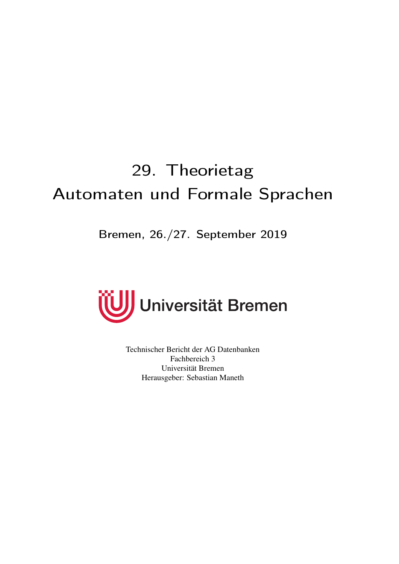# <span id="page-0-0"></span>29. Theorietag Automaten und Formale Sprachen

Bremen, 26./27. September 2019



Technischer Bericht der AG Datenbanken Fachbereich 3 Universität Bremen Herausgeber: Sebastian Maneth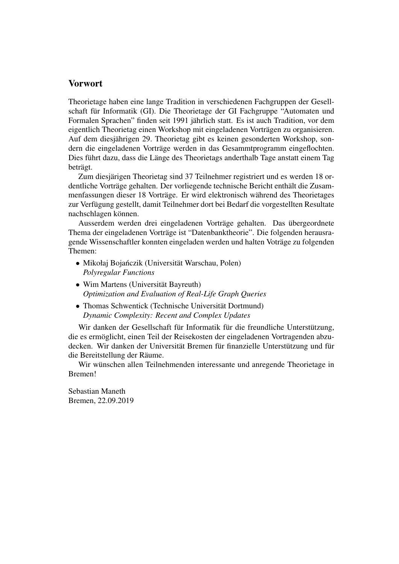#### <span id="page-1-0"></span>Vorwort

Theorietage haben eine lange Tradition in verschiedenen Fachgruppen der Gesellschaft für Informatik (GI). Die Theorietage der GI Fachgruppe "Automaten und Formalen Sprachen" finden seit 1991 jährlich statt. Es ist auch Tradition, vor dem eigentlich Theorietag einen Workshop mit eingeladenen Vorträgen zu organisieren. Auf dem diesjährigen 29. Theorietag gibt es keinen gesonderten Workshop, sondern die eingeladenen Vorträge werden in das Gesammtprogramm eingeflochten. Dies führt dazu, dass die Länge des Theorietags anderthalb Tage anstatt einem Tag beträgt.

Zum diesjärigen Theorietag sind 37 Teilnehmer registriert und es werden 18 ordentliche Vorträge gehalten. Der vorliegende technische Bericht enthält die Zusammenfassungen dieser 18 Vorträge. Er wird elektronisch während des Theorietages zur Verfügung gestellt, damit Teilnehmer dort bei Bedarf die vorgestellten Resultate nachschlagen können.

Ausserdem werden drei eingeladenen Vorträge gehalten. Das übergeordnete Thema der eingeladenen Vorträge ist "Datenbanktheorie". Die folgenden herausragende Wissenschaftler konnten eingeladen werden und halten Voträge zu folgenden Themen:

- Mikołaj Bojańczik (Universität Warschau, Polen) *Polyregular Functions*
- Wim Martens (Universität Bayreuth) *Optimization and Evaluation of Real-Life Graph Queries*
- Thomas Schwentick (Technische Universität Dortmund) *Dynamic Complexity: Recent and Complex Updates*

Wir danken der Gesellschaft für Informatik für die freundliche Unterstützung, die es ermöglicht, einen Teil der Reisekosten der eingeladenen Vortragenden abzudecken. Wir danken der Universität Bremen für finanzielle Unterstützung und für die Bereitstellung der Räume.

Wir wünschen allen Teilnehmenden interessante und anregende Theorietage in Bremen!

Sebastian Maneth Bremen, 22.09.2019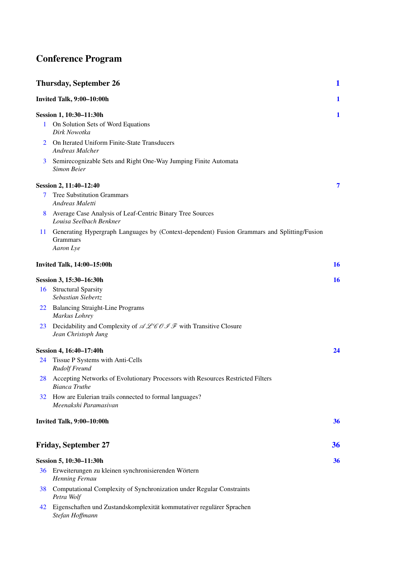## <span id="page-2-0"></span>Conference Program

|    | <b>Thursday, September 26</b>                                                                                               | $\mathbf{1}$ |
|----|-----------------------------------------------------------------------------------------------------------------------------|--------------|
|    | Invited Talk, 9:00-10:00h                                                                                                   | 1            |
|    | Session 1, 10:30–11:30h                                                                                                     | 1            |
| 1  | On Solution Sets of Word Equations<br>Dirk Nowotka                                                                          |              |
| 2  | On Iterated Uniform Finite-State Transducers<br><b>Andreas Malcher</b>                                                      |              |
| 3  | Semirecognizable Sets and Right One-Way Jumping Finite Automata<br>Simon Beier                                              |              |
|    | Session 2, 11:40–12:40                                                                                                      | 7            |
| 7  | <b>Tree Substitution Grammars</b><br>Andreas Maletti                                                                        |              |
| 8  | Average Case Analysis of Leaf-Centric Binary Tree Sources<br>Louisa Seelbach Benkner                                        |              |
| 11 | Generating Hypergraph Languages by (Context-dependent) Fusion Grammars and Splitting/Fusion<br><b>Grammars</b><br>Aaron Lye |              |
|    | <b>Invited Talk, 14:00-15:00h</b>                                                                                           | 16           |
|    | Session 3, 15:30–16:30h                                                                                                     | 16           |
|    | 16 Structural Sparsity<br>Sebastian Siebertz                                                                                |              |
|    | 22 Balancing Straight-Line Programs<br>Markus Lohrey                                                                        |              |
| 23 | Decidability and Complexity of $\mathscr{ALeb} \mathscr{OIF}$ with Transitive Closure<br>Jean Christoph Jung                |              |
|    | Session 4, 16:40-17:40h                                                                                                     | 24           |
| 24 | Tissue P Systems with Anti-Cells<br>Rudolf Freund                                                                           |              |
|    | 28 Accepting Networks of Evolutionary Processors with Resources Restricted Filters<br><b>Bianca Truthe</b>                  |              |
| 32 | How are Eulerian trails connected to formal languages?<br>Meenakshi Paramasivan                                             |              |
|    | Invited Talk, 9:00-10:00h                                                                                                   | 36           |
|    | <b>Friday, September 27</b>                                                                                                 | 36           |
|    | Session 5, 10:30–11:30h                                                                                                     | 36           |
|    | 36 Erweiterungen zu kleinen synchronisierenden Wörtern<br>Henning Fernau                                                    |              |
| 38 | Computational Complexity of Synchronization under Regular Constraints<br>Petra Wolf                                         |              |
| 42 | Eigenschaften und Zustandskomplexität kommutativer regulärer Sprachen<br>Stefan Hoffmann                                    |              |

*Stefan Hoffmann*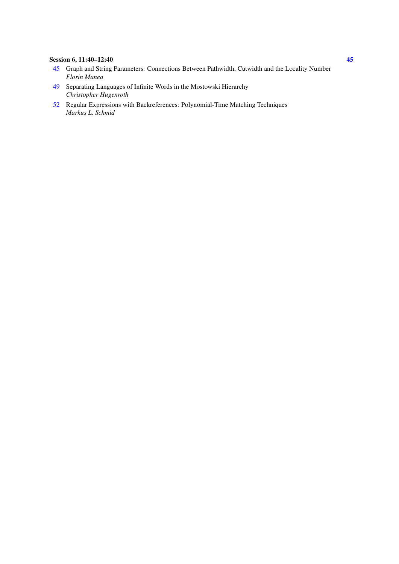#### <span id="page-3-0"></span>Session 6, 11:40–12:40 [45](#page-48-0)

- [45](#page-48-0) Graph and String Parameters: Connections Between Pathwidth, Cutwidth and the Locality Number *Florin Manea*
- [49](#page-52-0) Separating Languages of Infinite Words in the Mostowski Hierarchy *Christopher Hugenroth*
- [52](#page-55-0) Regular Expressions with Backreferences: Polynomial-Time Matching Techniques *Markus L. Schmid*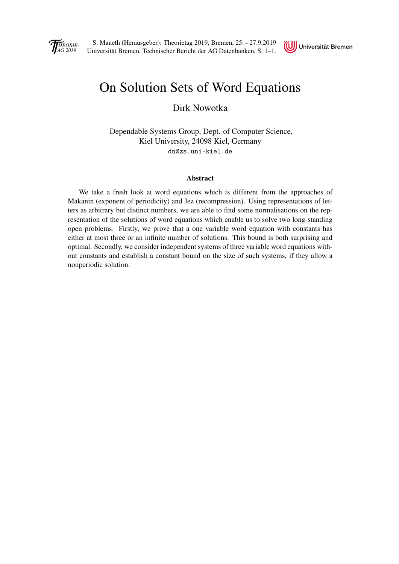<span id="page-4-1"></span><span id="page-4-0"></span>



## [On Solution Sets of Word Equations](#page-0-0)

Dirk Nowotka

Dependable Systems Group, Dept. of Computer Science, Kiel University, 24098 Kiel, Germany dn@zs.uni-kiel.de

#### Abstract

We take a fresh look at word equations which is different from the approaches of Makanin (exponent of periodicity) and Jez (recompression). Using representations of letters as arbitrary but distinct numbers, we are able to find some normalisations on the representation of the solutions of word equations which enable us to solve two long-standing open problems. Firstly, we prove that a one variable word equation with constants has either at most three or an infinite number of solutions. This bound is both surprising and optimal. Secondly, we consider independent systems of three variable word equations without constants and establish a constant bound on the size of such systems, if they allow a nonperiodic solution.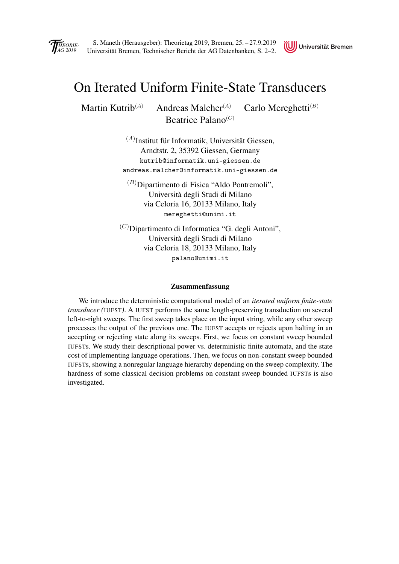<span id="page-5-1"></span><span id="page-5-0"></span>



## [On Iterated Uniform Finite-State Transducers](#page-0-0)

Martin Kutrib<sup>(A)</sup> Andreas Malcher<sup>(A)</sup> Carlo Mereghetti<sup>(B)</sup> Beatrice Palano $(C)$ 

> $(A)$ Institut für Informatik, Universität Giessen, Arndtstr. 2, 35392 Giessen, Germany kutrib@informatik.uni-giessen.de andreas.malcher@informatik.uni-giessen.de

 $(B)$ Dipartimento di Fisica "Aldo Pontremoli", Università degli Studi di Milano via Celoria 16, 20133 Milano, Italy mereghetti@unimi.it

 $^{(C)}$ Dipartimento di Informatica "G. degli Antoni", Università degli Studi di Milano via Celoria 18, 20133 Milano, Italy palano@unimi.it

#### Zusammenfassung

We introduce the deterministic computational model of an *iterated uniform finite-state transducer (*IUFST*)*. A IUFST performs the same length-preserving transduction on several left-to-right sweeps. The first sweep takes place on the input string, while any other sweep processes the output of the previous one. The IUFST accepts or rejects upon halting in an accepting or rejecting state along its sweeps. First, we focus on constant sweep bounded IUFSTs. We study their descriptional power vs. deterministic finite automata, and the state cost of implementing language operations. Then, we focus on non-constant sweep bounded IUFSTs, showing a nonregular language hierarchy depending on the sweep complexity. The hardness of some classical decision problems on constant sweep bounded IUFSTs is also investigated.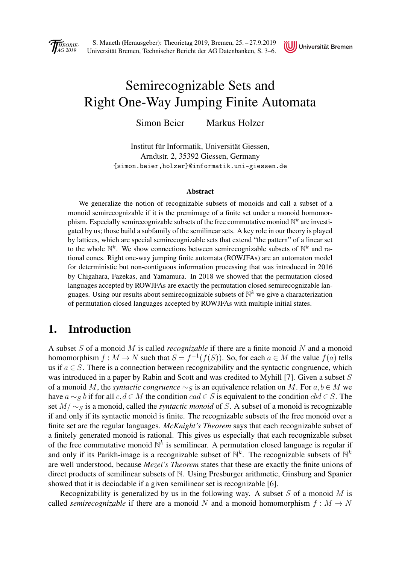

## <span id="page-6-0"></span>Semirecognizable Sets and [Right One-Way Jumping Finite Automata](#page-0-0)

Simon Beier Markus Holzer

Institut für Informatik, Universität Giessen, Arndtstr. 2, 35392 Giessen, Germany {simon.beier,holzer}@informatik.uni-giessen.de

#### Abstract

We generalize the notion of recognizable subsets of monoids and call a subset of a monoid semirecognizable if it is the premimage of a finite set under a monoid homomorphism. Especially semirecognizable subsets of the free commutative moniod  $\mathbb{N}^k$  are investigated by us; those build a subfamily of the semilinear sets. A key role in our theory is played by lattices, which are special semirecognizable sets that extend "the pattern" of a linear set to the whole  $\mathbb{N}^k$ . We show connections between semirecognizable subsets of  $\mathbb{N}^k$  and rational cones. Right one-way jumping finite automata (ROWJFAs) are an automaton model for deterministic but non-contiguous information processing that was introduced in 2016 by Chigahara, Fazekas, and Yamamura. In 2018 we showed that the permutation closed languages accepted by ROWJFAs are exactly the permutation closed semirecognizable languages. Using our results about semirecognizable subsets of  $\mathbb{N}^k$  we give a characterization of permutation closed languages accepted by ROWJFAs with multiple initial states.

### 1. Introduction

A subset S of a monoid M is called *recognizable* if there are a finite monoid N and a monoid homomorphism  $f: M \to N$  such that  $S = f^{-1}(f(S))$ . So, for each  $a \in M$  the value  $f(a)$  tells us if  $a \in S$ . There is a connection between recognizability and the syntactic congruence, which was introduced in a paper by Rabin and Scott and was credited to Myhill [7]. Given a subset S of a monoid M, the *syntactic congruence*  $\sim_S$  is an equivalence relation on M. For  $a, b \in M$  we have  $a \sim_S b$  if for all  $c, d \in M$  the condition  $cad \in S$  is equivalent to the condition  $h \in S$ . The set M/ ∼s is a monoid, called the *syntactic monoid* of S. A subset of a monoid is recognizable if and only if its syntactic monoid is finite. The recognizable subsets of the free monoid over a finite set are the regular languages. *McKnight's Theorem* says that each recognizable subset of a finitely generated monoid is rational. This gives us especially that each recognizable subset of the free commutative monoid  $\mathbb{N}^k$  is semilinear. A permutation closed language is regular if and only if its Parikh-image is a recognizable subset of  $\mathbb{N}^k$ . The recognizable subsets of  $\mathbb{N}^k$ are well understood, because *Mezei's Theorem* states that these are exactly the finite unions of direct products of semilinear subsets of N. Using Presburger arithmetic, Ginsburg and Spanier showed that it is deciadable if a given semilinear set is recognizable [6].

Recognizability is generalized by us in the following way. A subset S of a monoid M is called *semirecognizable* if there are a monoid N and a monoid homomorphism  $f : M \to N$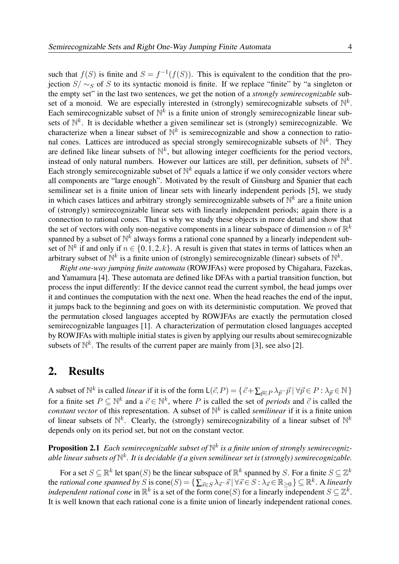such that  $f(S)$  is finite and  $S = f^{-1}(f(S))$ . This is equivalent to the condition that the projection  $S/\sim_S$  of S to its syntactic monoid is finite. If we replace "finite" by "a singleton or the empty set" in the last two sentences, we get the notion of a *strongly semirecognizable* subset of a monoid. We are especially interested in (strongly) semirecognizable subsets of  $\mathbb{N}^k$ . Each semirecognizable subset of  $\mathbb{N}^k$  is a finite union of strongly semirecognizable linear subsets of  $\mathbb{N}^k$ . It is decidable whether a given semilinear set is (strongly) semirecognizable. We characterize when a linear subset of  $\mathbb{N}^k$  is semirecognizable and show a connection to rational cones. Lattices are introduced as special strongly semirecognizable subsets of  $\mathbb{N}^k$ . They are defined like linear subsets of  $\mathbb{N}^k$ , but allowing integer coefficients for the period vectors, instead of only natural numbers. However our lattices are still, per definition, subsets of  $\mathbb{N}^k$ . Each strongly semirecognizable subset of  $\mathbb{N}^k$  equals a lattice if we only consider vectors where all components are "large enough". Motivated by the result of Ginsburg and Spanier that each semilinear set is a finite union of linear sets with linearly independent periods [5], we study in which cases lattices and arbitrary strongly semirecognizable subsets of  $\mathbb{N}^k$  are a finite union of (strongly) semirecognizable linear sets with linearly independent periods; again there is a [connection to rational cones. That is why we study these objects in more detail and show that](#page-1-0) the set of vectors with only non-negative components in a linear subspace of dimension n of  $\mathbb{R}^k$ spanned by a subset of  $\mathbb{N}^k$  always forms a rational cone spanned by a linearly independent subset of  $\mathbb{N}^k$  if and only if  $n \in \{0,1,2,k\}$ . A result is given that states in terms of lattices when an arbitrary subset of  $\mathbb{N}^k$  is a finite union of (strongly) semirecognizable (linear) subsets of  $\mathbb{N}^k$ .

*Right one-way jumping finite automata* (ROWJFAs) were proposed by Chigahara, Fazekas, and Yamamura [4]. These automata are defined like DFAs with a partial transition function, but process the input differently: If the device cannot read the current symbol, the head jumps over it and continues the computation with the next one. When the head reaches the end of the input, it jumps back to the beginning and goes on with its deterministic computation. We proved that the permutation closed languages accepted by ROWJFAs are exactly the permutation closed semirecognizable languages [1]. A characterization of permutation closed languages accepted by ROWJFAs with multiple initial states is given by applying our results about semirecognizable subsets of  $\mathbb{N}^k$ . The results of the current paper are mainly from [3], see also [2].

#### 2. Results

A subset of  $\mathbb{N}^k$  is called *linear* if it is of the form  $\mathsf{L}(\vec{c},P) = \{\vec{c} + \sum_{\vec{p} \in P} \lambda_{\vec{p}} \cdot \vec{p} \mid \forall \vec{p} \in P : \lambda_{\vec{p}} \in \mathbb{N} \}$ for a finite set  $P \subseteq \mathbb{N}^k$  and a  $\vec{c} \in \mathbb{N}^k$ , where P is called the set of *periods* and  $\vec{c}$  is called the *constant vector* of this representation. A subset of  $\mathbb{N}^k$  is called *semilinear* if it is a finite union of linear subsets of  $\mathbb{N}^k$ . Clearly, the (strongly) semirecognizability of a linear subset of  $\mathbb{N}^k$ depends only on its period set, but not on the constant vector.

Proposition 2.1 *Each semirecognizable subset of* N k *is a finite union of strongly semirecogniz*able linear subsets of  $\mathbb{N}^k$ . It is decidable if a given semilinear set is (strongly) semirecognizable.

For a set  $S \subseteq \mathbb{R}^k$  let span $(S)$  be the linear subspace of  $\mathbb{R}^k$  spanned by S. For a finite  $S \subseteq \mathbb{Z}^k$ the *rational cone spanned by* S is  $cone(S) = \left\{ \sum_{\vec{s} \in S} \lambda_{\vec{s}} \cdot \vec{s} \mid \forall \vec{s} \in S : \lambda_{\vec{s}} \in \mathbb{R}_{\geq 0} \right\} \subseteq \mathbb{R}^k$ . A *linearly independent rational cone* in  $\mathbb{R}^k$  is a set of the form cone(S) for a linearly independent  $S \subseteq \mathbb{Z}^k$ . It is well known that each rational cone is a finite union of linearly independent rational cones.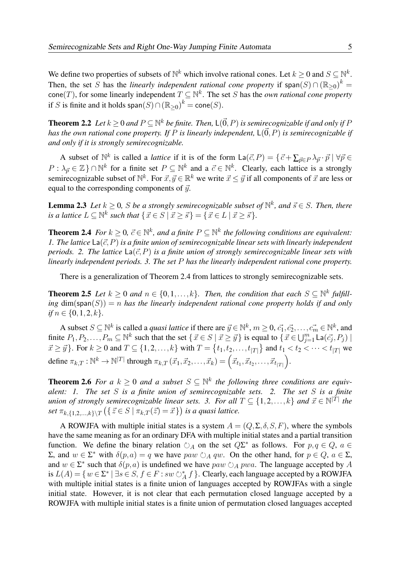We define two properties of subsets of  $\mathbb{N}^k$  which involve rational cones. Let  $k \geq 0$  and  $S \subseteq \mathbb{N}^k$ . Then, the set S has the *linearly independent rational cone property* if span $(S) \cap (\mathbb{R}_{\geq 0})^k =$ cone(*T*), for some linearly independent  $T \subseteq \mathbb{N}^k$ . The set *S* has the *own rational cone property* if S is finite and it holds  $\textsf{span}(S) \cap (\mathbb{R}_{\geq 0})^k = \textsf{cone}(S)$ .

**Theorem 2.2** Let  $k \geq 0$  and  $P \subseteq \mathbb{N}^k$  be finite. Then,  $\mathsf{L}(\vec{0},P)$  is semirecognizable if and only if P *has the own rational cone property. If* P *is linearly independent*,  $L(\vec{0},P)$  *is semirecognizable if and only if it is strongly semirecognizable.*

A subset of  $\mathbb{N}^k$  is called a *lattice* if it is of the form  $\text{La}(\vec{c},P) = \{\vec{c} + \sum_{\vec{p} \in P} \lambda_{\vec{p}} \cdot \vec{p} \mid \forall \vec{p} \in \mathbb{N}\}$  $P: \lambda_{\vec{p}} \in \mathbb{Z} \} \cap \mathbb{N}^k$  for a finite set  $P \subseteq \mathbb{N}^k$  and a  $\vec{c} \in \mathbb{N}^k$ . Clearly, each lattice is a strongly semirecognizable subset of  $\mathbb{N}^k$ . For  $\vec{x}, \vec{y} \in \mathbb{R}^k$  we write  $\vec{x} \leq \vec{y}$  if all components of  $\vec{x}$  are less or equal to the corresponding components of  $\vec{y}$ .

**Lemma 2.3** Let  $k \geq 0$ , S be a strongly semirecognizable subset of  $\mathbb{N}^k$ , and  $\vec{s} \in S$ . Then, there *is a lattice*  $L \subseteq \mathbb{N}^k$  such that  $\{\vec{x} \in S \mid \vec{x} \geq \vec{s}\} = \{\vec{x} \in L \mid \vec{x} \geq \vec{s}\}.$ 

**Theorem 2.4** *For*  $k \geq 0$ ,  $\vec{c} \in \mathbb{N}^k$ , and a finite  $P \subseteq \mathbb{N}^k$  the following conditions are equivalent: *1. The lattice*  $\text{La}(\vec{c},P)$  *is a finite union of semirecognizable linear sets with linearly independent periods.* 2. The lattice  $\text{La}(\vec{c},P)$  *is a finite union of strongly semirecognizable linear sets with linearly independent periods. 3. The set* P *has the linearly independent rational cone property.*

There is a generalization of Theorem 2.4 from lattices to strongly semirecognizable sets.

**Theorem 2.5** *Let*  $k \geq 0$  *and*  $n \in \{0, 1, ..., k\}$ *. Then, the condition that each*  $S \subseteq \mathbb{N}^k$  *fulfill* $ing \dim(\text{span}(S)) = n$  *has the linearly independent rational cone property holds if and only if*  $n \in \{0, 1, 2, k\}.$ 

A subset  $S \subseteq \mathbb{N}^k$  is called a *quasi lattice* if there are  $\vec{y} \in \mathbb{N}^k$ ,  $m \ge 0$ ,  $\vec{c_1}, \vec{c_2}, \dots, \vec{c_m} \in \mathbb{N}^k$ , and finite  $P_1, P_2, \ldots, P_m \subseteq \mathbb{N}^k$  such that the set  $\{\vec{x} \in S \mid \vec{x} \geq \vec{y}\}\$ is equal to  $\{\vec{x} \in \bigcup_{j=1}^m \mathsf{La}(\vec{c_j}, P_j) \mid \vec{x} \geq \vec{y}\}\$  $x \geq y$ . For  $k \geq 0$  and  $T \subseteq \{1, 2, ..., k\}$  with  $T = \{t_1, t_2, ..., t_{|T|}\}$  and  $t_1 < t_2 < ... < t_{|T|}$  we define  $\pi_{k,T}: \mathbb{N}^k \to \mathbb{N}^{|T|}$  through  $\pi_{k,T}(\vec{x}_1, \vec{x}_2, \dots, \vec{x}_k) = (\vec{x}_{t_1}, \vec{x}_{t_2}, \dots, \vec{x}_{t_{|T|}}).$ 

**Theorem 2.6** For a  $k \geq 0$  and a subset  $S \subseteq \mathbb{N}^k$  the following three conditions are equiv*alent: 1. The set* S *is a finite union of semirecognizable sets. 2. The set* S *is a finite union of strongly semirecognizable linear sets.* 3. For all  $T \subseteq \{1, 2, ..., k\}$  and  $\vec{x} \in \mathbb{N}^{|T|}$  the *set*  $\pi_{k,\{1,2,\ldots,k\}\setminus T}$   $(\{\vec{z} \in S \mid \pi_{k,T}(\vec{z}) = \vec{x}\})$  *is a quasi lattice.* 

A ROWJFA with multiple initial states is a system  $A = (Q, \Sigma, \delta, S, F)$ , where the symbols have the same meaning as for an ordinary DFA with multiple initial states and a partial transition function. We define the binary relation  $\circlearrowright_A$  on the set  $Q\Sigma^*$  as follows. For  $p, q \in Q$ ,  $a \in \Sigma$  $Σ$ , and  $w ∈ Σ^*$  with  $δ(p, a) = q$  we have  $paw ∅<sub>A</sub> qw$ . On the other hand, for  $p ∈ Q$ ,  $a ∈ Σ$ , and  $w \in \Sigma^*$  such that  $\delta(p, a)$  is undefined we have  $paw \circ A pwa$ . The language accepted by A is  $L(A) = \{w \in \Sigma^* \mid \exists s \in S, f \in F : sw \circlearrowright_A^* f\}$ . Clearly, each language accepted by a ROWJFA [with multiple initial states is a finite union of languages accepted by ROWJFAs with a single](#page-2-0) initial state. However, it is not clear that each permutation closed language accepted by a ROWJFA with multiple initial states is a finite union of permutation closed languages accepted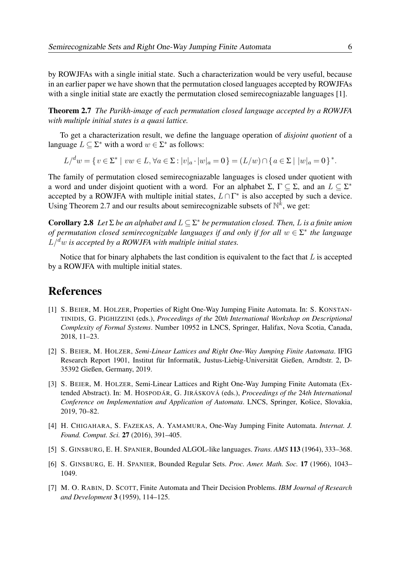[by ROWJFAs with a single initial state. Such a characterization would be very useful, because](#page-3-0) in an earlier paper we have shown that the permutation closed languages accepted by ROWJFAs with a single initial state are exactly the permutation closed semirecogniazable languages [1].

Theorem 2.7 *The Parikh-image of each permutation closed language accepted by a ROWJFA with multiple initial states is a quasi lattice.*

To get a characterization result, we define the language operation of *disjoint quotient* of a language  $L \subseteq \Sigma^*$  with a word  $w \in \Sigma^*$  as follows:

L/<sup>d</sup>w = { $v \in \Sigma^* \mid vw \in L, \forall a \in \Sigma : |v|_a \cdot |w|_a = 0$ } = (L/w)  $\cap$  { $a \in \Sigma \mid |w|_a = 0$ }<sup>\*</sup>.

The family of permutation closed semirecogniazable languages is closed under quotient with a word and under disjoint quotient with a word. For an alphabet  $\Sigma$ ,  $\Gamma \subseteq \Sigma$ , and an  $L \subseteq \Sigma^*$ accepted by a ROWJFA with multiple initial states,  $L \cap \Gamma^*$  is also accepted by such a device. Using Theorem 2.7 and our results about semirecognizable subsets of  $\mathbb{N}^k$ , we get:

**Corollary 2.8** Let  $\Sigma$  *be an alphabet and*  $L \subseteq \Sigma^*$  *be permutation closed. Then,* L *is a finite union of permutation closed semirecognizable languages if and only if for all* w ∈ Σ ∗ *the language*  $L/d$ *w* is accepted by a ROWJFA with multiple initial states.

Notice that for binary alphabets the last condition is equivalent to the fact that  $L$  is accepted by a ROWJFA with multiple initial states.

### References

- [1] S. BEIER, M. HOLZER, Properties of Right One-Way Jumping Finite Automata. In: S. KONSTAN-TINIDIS, G. PIGHIZZINI (eds.), *Proceedings of the* 20*th International Workshop on Descriptional Complexity of Formal Systems*. Number 10952 in LNCS, Springer, Halifax, Nova Scotia, Canada, 2018, 11–23.
- [2] S. BEIER, M. HOLZER, *Semi-Linear Lattices and Right One-Way Jumping Finite Automata*. IFIG Research Report 1901, Institut für Informatik, Justus-Liebig-Universität Gießen, Arndtstr. 2, D-35392 Gießen, Germany, 2019.
- [3] S. BEIER, M. HOLZER, Semi-Linear Lattices and Right One-Way Jumping Finite Automata (Extended Abstract). In: M. HOSPODÁR, G. JIRÁSKOVÁ (eds.), *Proceedings of the* 24*th International Conference on Implementation and Application of Automata*. LNCS, Springer, Košice, Slovakia, 2019, 70–82.
- [4] H. CHIGAHARA, S. FAZEKAS, A. YAMAMURA, One-Way Jumping Finite Automata. *Internat. J. Found. Comput. Sci.* 27 (2016), 391–405.
- [5] S. GINSBURG, E. H. SPANIER, Bounded ALGOL-like languages. *Trans. AMS* 113 (1964), 333–368.
- [6] S. GINSBURG, E. H. SPANIER, Bounded Regular Sets. *Proc. Amer. Math. Soc.* 17 (1966), 1043– 1049.
- [7] M. O. RABIN, D. SCOTT, Finite Automata and Their Decision Problems. *IBM Journal of Research and Development* 3 (1959), 114–125.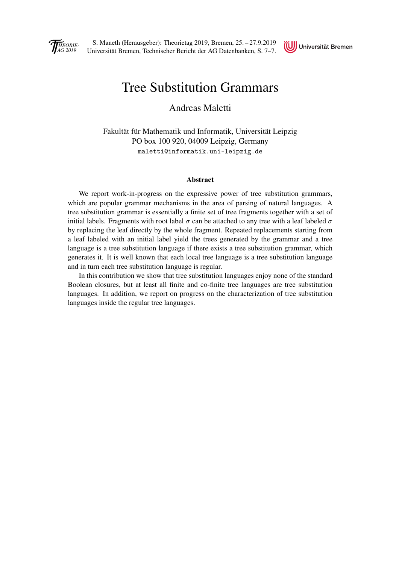<span id="page-10-0"></span>



## [Tree Substitution Grammars](#page-0-0)

Andreas Maletti

Fakultät für Mathematik und Informatik, Universität Leipzig PO box 100 920, 04009 Leipzig, Germany maletti@informatik.uni-leipzig.de

#### Abstract

We report work-in-progress on the expressive power of tree substitution grammars, which are popular grammar mechanisms in the area of parsing of natural languages. A tree substitution grammar is essentially a finite set of tree fragments together with a set of initial labels. Fragments with root label  $\sigma$  can be attached to any tree with a leaf labeled  $\sigma$ by replacing the leaf directly by the whole fragment. Repeated replacements starting from a leaf labeled with an initial label yield the trees generated by the grammar and a tree language is a tree substitution language if there exists a tree substitution grammar, which generates it. It is well known that each local tree language is a tree substitution language and in turn each tree substitution language is regular.

In this contribution we show that tree substitution languages enjoy none of the standard Boolean closures, but at least all finite and co-finite tree languages are tree substitution languages. In addition, we report on progress on the characterization of tree substitution languages inside the regular tree languages.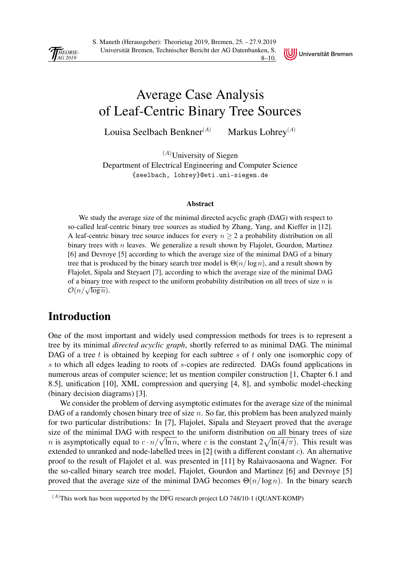<span id="page-11-0"></span>

S. Maneth (Herausgeber): Theorietag 2019, Bremen, 25. – 27.9.2019 Universität Bremen, Technischer Bericht der AG Datenbanken, S. 8–10.



## Average Case Analysis [of Leaf-Centric Binary Tree Sources](#page-0-0)

Louisa Seelbach Benkner<sup>(A)</sup> Markus Lohrey<sup>(A)</sup>

 $(A)$ University of Siegen Department of Electrical Engineering and Computer Science {seelbach, lohrey}@eti.uni-siegen.de

#### Abstract

We study the average size of the minimal directed acyclic graph (DAG) with respect to so-called leaf-centric binary tree sources as studied by Zhang, Yang, and Kieffer in [12]. A leaf-centric binary tree source induces for every  $n \geq 2$  a probability distribution on all binary trees with  $n$  leaves. We generalize a result shown by Flajolet, Gourdon, Martinez [6] and Devroye [5] according to which the average size of the minimal DAG of a binary tree that is produced by the binary search tree model is  $\Theta(n/\log n)$ , and a result shown by Flajolet, Sipala and Steyaert [7], according to which the average size of the minimal DAG of a binary tree with respect to the uniform probability distribution on all trees of size  $n$  is  $\mathcal{O}(n/\sqrt{\log n})$ .

### Introduction

One of the most important and widely used compression methods for trees is to represent a tree by its minimal *directed acyclic graph*, shortly referred to as minimal DAG. The minimal DAG of a tree t is obtained by keeping for each subtree s of t only one isomorphic copy of s to which all edges leading to roots of s-copies are redirected. DAGs found applications in numerous areas of computer science; let us mention compiler construction [1, Chapter 6.1 and 8.5], unification [10], XML compression and querying [4, 8], and symbolic model-checking (binary decision diagrams) [3].

We consider the problem of derving asymptotic estimates for the average size of the minimal DAG of a randomly chosen binary tree of size  $n$ . So far, this problem has been analyzed mainly for two particular distributions: In [7], Flajolet, Sipala and Steyaert proved that the average size of the minimal DAG with respect to the uniform distribution on all binary trees of size *n* is asymptotically equal to  $c \cdot n / \sqrt{\ln n}$ , where c is the constant  $2\sqrt{\ln(4/\pi)}$ . This result was extended to unranked and node-labelled trees in [2] (with a different constant c). An alternative proof to the result of Flajolet et al. was presented in [11] by Ralaivaosaona and Wagner. For the so-called binary search tree model, Flajolet, Gourdon and Martinez [6] and Devroye [5] proved that the average size of the minimal DAG becomes  $\Theta(n/\log n)$ . In the binary search

 $(A)$ This work has been supported by the DFG research project LO 748/10-1 (QUANT-KOMP)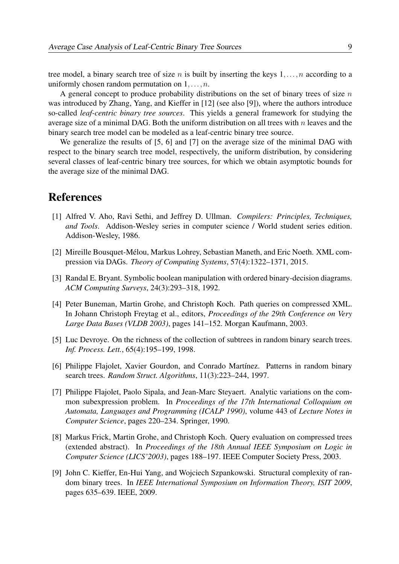tree model, a binary search tree of size n is built by inserting the keys  $1, \ldots, n$  according to a uniformly chosen random permutation on  $1, \ldots, n$ .

A general concept to produce probability distributions on the set of binary trees of size  $n$ was introduced by Zhang, Yang, and Kieffer in [12] (see also [9]), where the authors introduce so-called *leaf-centric binary tree sources*. This yields a general framework for studying the average size of a minimal DAG. Both the uniform distribution on all trees with  $n$  leaves and the binary search tree model can be modeled as a leaf-centric binary tree source.

We generalize the results of [5, 6] and [7] on the average size of the minimal DAG with [respect to the binary search tree model, respectively, the uniform distribution, by considering](#page-1-0) several classes of leaf-centric binary tree sources, for which we obtain asymptotic bounds for the average size of the minimal DAG.

### References

- [1] Alfred V. Aho, Ravi Sethi, and Jeffrey D. Ullman. *Compilers: Principles, Techniques, and Tools*. Addison-Wesley series in computer science / World student series edition. Addison-Wesley, 1986.
- [2] Mireille Bousquet-Mélou, Markus Lohrey, Sebastian Maneth, and Eric Noeth. XML compression via DAGs. *Theory of Computing Systems*, 57(4):1322–1371, 2015.
- [3] Randal E. Bryant. Symbolic boolean manipulation with ordered binary-decision diagrams. *ACM Computing Surveys*, 24(3):293–318, 1992.
- [4] Peter Buneman, Martin Grohe, and Christoph Koch. Path queries on compressed XML. In Johann Christoph Freytag et al., editors, *Proceedings of the 29th Conference on Very Large Data Bases (VLDB 2003)*, pages 141–152. Morgan Kaufmann, 2003.
- [5] Luc Devroye. On the richness of the collection of subtrees in random binary search trees. *Inf. Process. Lett.*, 65(4):195–199, 1998.
- [6] Philippe Flajolet, Xavier Gourdon, and Conrado Martínez. Patterns in random binary search trees. *Random Struct. Algorithms*, 11(3):223–244, 1997.
- [7] Philippe Flajolet, Paolo Sipala, and Jean-Marc Steyaert. Analytic variations on the common subexpression problem. In *Proceedings of the 17th International Colloquium on Automata, Languages and Programming (ICALP 1990)*, volume 443 of *Lecture Notes in Computer Science*, pages 220–234. Springer, 1990.
- [8] Markus Frick, Martin Grohe, and Christoph Koch. Query evaluation on compressed trees (extended abstract). In *Proceedings of the 18th Annual IEEE Symposium on Logic in Computer Science (LICS'2003)*, pages 188–197. IEEE Computer Society Press, 2003.
- [9] John C. Kieffer, En-Hui Yang, and Wojciech Szpankowski. Structural complexity of random binary trees. In *IEEE International Symposium on Information Theory, ISIT 2009*, pages 635–639. IEEE, 2009.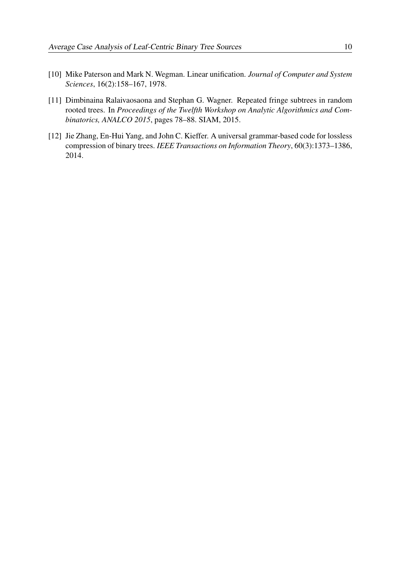- [10] Mike Paterson and Mark N. Wegman. Linear unification. *Journal of Computer and System Sciences*, 16(2):158–167, 1978.
- [\[11\] Dimbinaina Ralaivaosaona and Stephan G. Wagner. Repeated fringe subtrees in random](#page-2-0) rooted trees. In *Proceedings of the Twelfth Workshop on Analytic Algorithmics and Combinatorics, ANALCO 2015*, pages 78–88. SIAM, 2015.
- [12] Jie Zhang, En-Hui Yang, and John C. Kieffer. A universal grammar-based code for lossless compression of binary trees. *IEEE Transactions on Information Theory*, 60(3):1373–1386, 2014.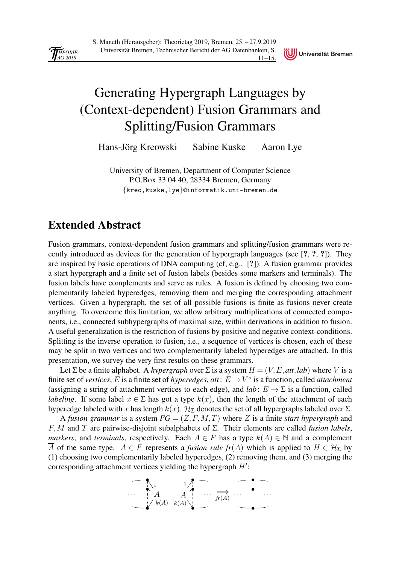<span id="page-14-0"></span>

## Generating Hypergraph Languages by [\(Context-dependent\) Fusion Grammars and](#page-0-0) Splitting/Fusion Grammars

Universität Bremen

Hans-Jörg Kreowski Sabine Kuske Aaron Lye

University of Bremen, Department of Computer Science P.O.Box 33 04 40, 28334 Bremen, Germany {kreo,kuske,lye}@informatik.uni-bremen.de

### Extended Abstract

Fusion grammars, context-dependent fusion grammars and splitting/fusion grammars were recently introduced as devices for the generation of hypergraph languages (see [?, ?, ?]). They are inspired by basic operations of DNA computing (cf, e.g., [?]). A fusion grammar provides a start hypergraph and a finite set of fusion labels (besides some markers and terminals). The fusion labels have complements and serve as rules. A fusion is defined by choosing two complementarily labeled hyperedges, removing them and merging the corresponding attachment vertices. Given a hypergraph, the set of all possible fusions is finite as fusions never create anything. To overcome this limitation, we allow arbitrary multiplications of connected components, i.e., connected subhypergraphs of maximal size, within derivations in addition to fusion. A useful generalization is the restriction of fusions by positive and negative context-conditions. Splitting is the inverse operation to fusion, i.e., a sequence of vertices is chosen, each of these may be split in two vertices and two complementarily labeled hyperedges are attached. In this presentation, we survey the very first results on these grammars.

Let  $\Sigma$  be a finite alphabet. A *hypergraph* over  $\Sigma$  is a system  $H = (V, E, att, lab)$  where V is a finite set of *vertices*, E is a finite set of *hyperedges*,  $att: E \to V^*$  is a function, called *attachment* (assigning a string of attachment vertices to each edge), and *lab*:  $E \to \Sigma$  is a function, called *labeling*. If some label  $x \in \Sigma$  has got a type  $k(x)$ , then the length of the attachment of each hyperedge labeled with x has length  $k(x)$ .  $\mathcal{H}_{\Sigma}$  denotes the set of all hypergraphs labeled over  $\Sigma$ .

A *fusion grammar* is a system *FG* = (Z,F,M,T) where Z is a finite *start hypergraph* and F,M and T are pairwise-disjoint subalphabets of Σ. Their elements are called *fusion labels*, *markers*, and *terminals*, respectively. Each  $A \in F$  has a type  $k(A) \in \mathbb{N}$  and a complement A of the same type.  $A \in F$  represents a *fusion rule fr*(A) which is applied to  $H \in \mathcal{H}_{\Sigma}$  by (1) choosing two complementarily labeled hyperedges, (2) removing them, and (3) merging the corresponding attachment vertices yielding the hypergraph  $H'$ :

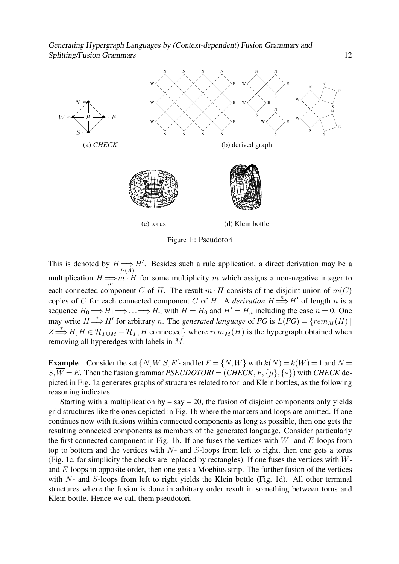

Figure 1:: Pseudotori

This is denoted by  $H \Longrightarrow H'$ . Besides such a rule application, a direct derivation may be a multiplication  $H \Longrightarrow m \cdot H$  for some multiplicity m which assigns a non-negative integer to each connected component C of H. The result  $m \cdot H$  consists of the disjoint union of  $m(C)$ copies of C for each connected component C of H. A *derivation*  $H \stackrel{n}{\Longrightarrow} H'$  of length n is a sequence  $H_0 \Longrightarrow H_1 \Longrightarrow \ldots \Longrightarrow H_n$  with  $H = H_0$  and  $H' = H_n$  including the case  $n = 0$ . One may write  $H \stackrel{*}{\Longrightarrow} H'$  for arbitrary *n*. The *generated language* of *FG* is  $L(FG) = \{rem_M(H) \mid$  $Z \stackrel{*}{\Longrightarrow} H, H \in \mathcal{H}_{T \cup M} - \mathcal{H}_T, H$  connected} where  $rem_M(H)$  is the hypergraph obtained when removing all hyperedges with labels in M.

**Example** Consider the set  $\{N, W, S, E\}$  and let  $F = \{N, W\}$  with  $k(N) = k(W) = 1$  and  $\overline{N} =$ S,  $\overline{W} = E$ . Then the fusion grammar *PSEUDOTORI* = (*CHECK*, *F*, { $\mu$ }, {\*}) with *CHECK* depicted in Fig. 1a generates graphs of structures related to tori and Klein bottles, as the following reasoning indicates.

Starting with a multiplication by  $-$  say  $-$  20, the fusion of disjoint components only yields [grid structures like the ones depicted in Fig. 1b where the markers and loops are omitted. If one](#page-1-0) continues now with fusions within connected components as long as possible, then one gets the resulting connected components as members of the generated language. Consider particularly the first connected component in Fig. 1b. If one fuses the vertices with  $W$ - and  $E$ -loops from top to bottom and the vertices with  $N$ - and  $S$ -loops from left to right, then one gets a torus (Fig. 1c, for simplicity the checks are replaced by rectangles). If one fuses the vertices with Wand E-loops in opposite order, then one gets a Moebius strip. The further fusion of the vertices with N- and S-loops from left to right yields the Klein bottle (Fig. 1d). All other terminal structures where the fusion is done in arbitrary order result in something between torus and Klein bottle. Hence we call them pseudotori.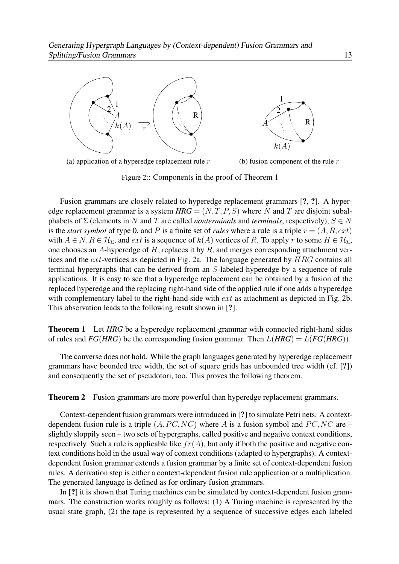

(a) application of a hyperedge replacement rule  $r$ (b) fusion component of the rule  $r$ 

Figure 2:: Components in the proof of Theorem 1

Fusion grammars are closely related to hyperedge replacement grammars [?, ?]. A hyperedge replacement grammar is a system  $HRG = (N, T, P, S)$  where N and T are disjoint subalphabets of  $\Sigma$  (elements in N and T are called *nonterminals* and *terminals*, respectively),  $S \in N$ is the *start symbol* of type 0, and P is a finite set of *rules* where a rule is a triple  $r = (A, R, ext)$ with  $A \in N, R \in \mathcal{H}_{\Sigma}$ , and ext is a sequence of  $k(A)$  vertices of R. To apply r to some  $H \in \mathcal{H}_{\Sigma}$ , one chooses an A-hyperedge of  $H$ , replaces it by  $R$ , and merges corresponding attachment vertices and the ext-vertices as depicted in Fig. 2a. The language generated by HRG contains all terminal hypergraphs that can be derived from an S-labeled hyperedge by a sequence of rule applications. It is easy to see that a hyperedge replacement can be obtained by a fusion of the replaced hyperedge and the replacing right-hand side of the applied rule if one adds a hyperedge with complementary label to the right-hand side with  $ext$  as attachment as depicted in Fig. 2b. This observation leads to the following result shown in [?].

**Theorem 1** Let *HRG* be a hyperedge replacement grammar with connected right-hand sides of rules and  $FG(HRG)$  be the corresponding fusion grammar. Then  $L(HRG) = L(FG(HRG))$ .

The converse does not hold. While the graph languages generated by hyperedge replacement grammars have bounded tree width, the set of square grids has unbounded tree width (cf. [?]) and consequently the set of pseudotori, too. This proves the following theorem.

**Theorem 2** Fusion grammars are more powerful than hyperedge replacement grammars.

Context-dependent fusion grammars were introduced in [?] to simulate Petri nets. A contextdependent fusion rule is a triple  $(A, PC, NC)$  where A is a fusion symbol and  $PC, NC$  are – slightly sloppily seen – two sets of hypergraphs, called positive and negative context conditions, respectively. Such a rule is applicable like  $fr(A)$ , but only if both the positive and negative context conditions hold in the usual way of context conditions (adapted to hypergraphs). A context[dependent fusion grammar extends a fusion grammar by a finite set of context-dependent fusion](#page-2-0) rules. A derivation step is either a context-dependent fusion rule application or a multiplication. The generated language is defined as for ordinary fusion grammars.

In [?] it is shown that Turing machines can be simulated by context-dependent fusion grammars. The construction works roughly as follows: (1) A Turing machine is represented by the usual state graph, (2) the tape is represented by a sequence of successive edges each labeled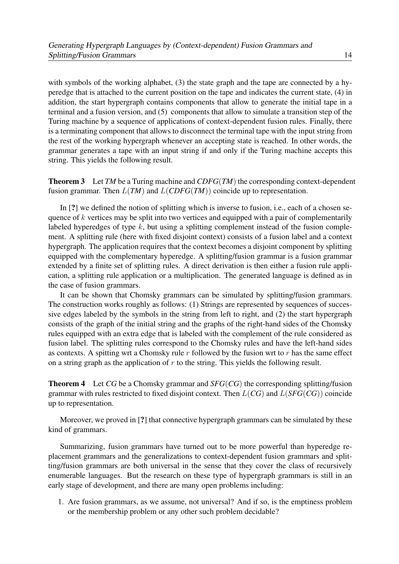with symbols of the working alphabet, (3) the state graph and the tape are connected by a hyperedge that is attached to the current position on the tape and indicates the current state, (4) in addition, the start hypergraph contains components that allow to generate the initial tape in a terminal and a fusion version, and (5) components that allow to simulate a transition step of the Turing machine by a sequence of applications of context-dependent fusion rules. Finally, there is a terminating component that allows to disconnect the terminal tape with the input string from the rest of the working hypergraph whenever an accepting state is reached. In other words, the grammar generates a tape with an input string if and only if the Turing machine accepts this string. This yields the following result.

**Theorem 3** Let *TM* be a Turing machine and  $CDFG(TM)$  the corresponding context-dependent fusion grammar. Then  $L(TM)$  and  $L(CDFG(TM))$  coincide up to representation.

In [?] we defined the notion of splitting which is inverse to fusion, i.e., each of a chosen sequence of  $k$  vertices may be split into two vertices and equipped with a pair of complementarily labeled hyperedges of type  $k$ , but using a splitting complement instead of the fusion complement. A splitting rule (here with fixed disjoint context) consists of a fusion label and a context hypergraph. The application requires that the context becomes a disjoint component by splitting equipped with the complementary hyperedge. A splitting/fusion grammar is a fusion grammar extended by a finite set of splitting rules. A direct derivation is then either a fusion rule application, a splitting rule application or a multiplication. The generated language is defined as in the case of fusion grammars.

It can be shown that Chomsky grammars can be simulated by splitting/fusion grammars. The construction works roughly as follows: (1) Strings are represented by sequences of successive edges labeled by the symbols in the string from left to right, and (2) the start hypergraph consists of the graph of the initial string and the graphs of the right-hand sides of the Chomsky rules equipped with an extra edge that is labeled with the complement of the rule considered as fusion label. The splitting rules correspond to the Chomsky rules and have the left-hand sides as contexts. A spitting wrt a Chomsky rule  $r$  followed by the fusion wrt to  $r$  has the same effect on a string graph as the application of  $r$  to the string. This yields the following result.

Theorem 4 Let *CG* be a Chomsky grammar and *SFG*(*CG*) the corresponding splitting/fusion grammar with rules restricted to fixed disjoint context. Then L(*CG*) and L(*SFG*(*CG*)) coincide up to representation.

Moreover, we proved in [?] that connective hypergraph grammars can be simulated by these kind of grammars.

Summarizing, fusion grammars have turned out to be more powerful than hyperedge replacement grammars and the generalizations to context-dependent fusion grammars and splitting/fusion grammars are both universal in the sense that they cover the class of recursively [enumerable languages. But the research on these type of hypergraph grammars is still in an](#page-3-0) early stage of development, and there are many open problems including:

1. Are fusion grammars, as we assume, not universal? And if so, is the emptiness problem or the membership problem or any other such problem decidable?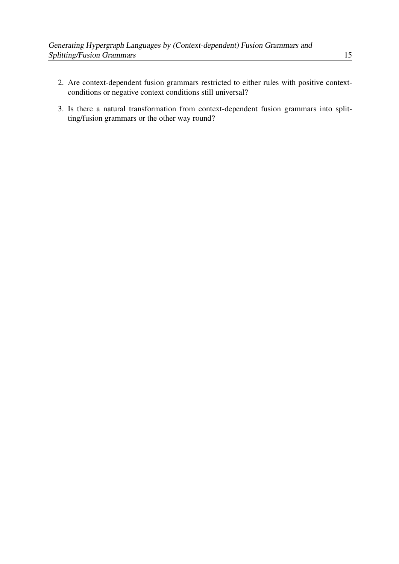- 2. [Are context-dependent fusion grammars restricted to either rules with positive context](#page-4-1)conditions or negative context conditions still universal?
- 3. Is there a natural transformation from context-dependent fusion grammars into splitting/fusion grammars or the other way round?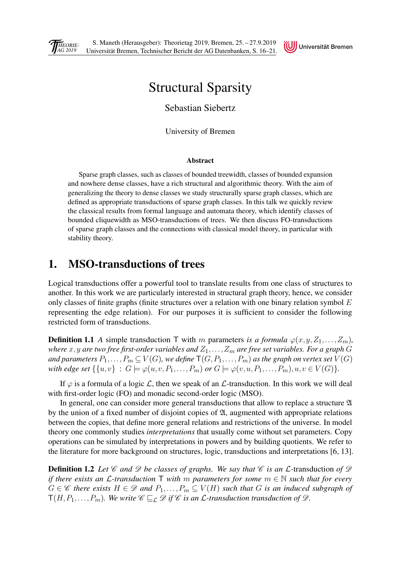<span id="page-19-0"></span>



## Structural Sparsity

Sebastian Siebertz

University of Bremen

#### Abstract

Sparse graph classes, such as classes of bounded treewidth, classes of bounded expansion and nowhere dense classes, have a rich structural and algorithmic theory. With the aim of generalizing the theory to dense classes we study structurally sparse graph classes, which are defined as appropriate transductions of sparse graph classes. In this talk we quickly review the classical results from formal language and automata theory, which identify classes of bounded cliquewidth as MSO-transductions of trees. We then discuss FO-transductions of sparse graph classes and the connections with classical model theory, in particular with stability theory.

### 1. MSO-transductions of trees

Logical transductions offer a powerful tool to translate results from one class of structures to another. In this work we are particularly interested in structural graph theory, hence, we consider only classes of finite graphs (finite structures over a relation with one binary relation symbol  $E$ [representing the edge relation\). For our purposes it is sufficient to consider the following](#page-0-0) restricted form of transductions.

**Definition 1.1** *A* simple transduction T with m parameters *is a formula*  $\varphi(x, y, Z_1, \ldots, Z_m)$ *, where* x, y are two free first-order variables and  $Z_1, \ldots, Z_m$  are free set variables. For a graph G *and parameters*  $P_1, \ldots, P_m \subseteq V(G)$ *, we define*  $\mathsf{T}(G, P_1, \ldots, P_m)$  *as the graph on vertex set*  $V(G)$ *with edge set*  $\{ \{u, v\} : G \models \varphi(u, v, P_1, \ldots, P_m) \text{ or } G \models \varphi(v, u, P_1, \ldots, P_m), u, v \in V(G) \}.$ 

If  $\varphi$  is a formula of a logic  $\mathcal{L}$ , then we speak of an  $\mathcal{L}$ -transduction. In this work we will deal with first-order logic (FO) and monadic second-order logic (MSO).

In general, one can consider more general transductions that allow to replace a structure  $\mathfrak A$ by the union of a fixed number of disjoint copies of  $\mathfrak{A}$ , augmented with appropriate relations between the copies, that define more general relations and restrictions of the universe. In model theory one commonly studies *interpretations* that usually come without set parameters. Copy operations can be simulated by interpretations in powers and by building quotients. We refer to the literature for more background on structures, logic, transductions and interpretations [6, 13].

**Definition 1.2** Let  $\mathscr C$  and  $\mathscr D$  be classes of graphs. We say that  $\mathscr C$  *is an*  $\mathcal L$ -transduction of  $\mathscr D$ *if there exists an*  $\mathcal{L}$ *-transduction*  $\mathsf{T}$  *with* m *parameters for some*  $m \in \mathbb{N}$  *such that for every*  $G \in \mathscr{C}$  there exists  $H \in \mathscr{D}$  and  $P_1, \ldots, P_m \subseteq V(H)$  such that G is an induced subgraph of  $T(H, P_1, \ldots, P_m)$ *. We write*  $\mathscr{C} \sqsubseteq_{\mathcal{L}} \mathscr{D}$  *if*  $\mathscr{C}$  *is an L*-transduction transduction of  $\mathscr{D}$ *.*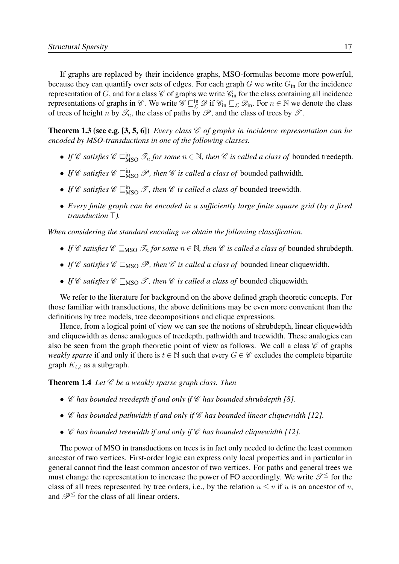If graphs are replaced by their incidence graphs, MSO-formulas become more powerful, because they can quantify over sets of edges. For each graph  $G$  we write  $G_{in}$  for the incidence representation of G, and for a class  $\mathscr C$  of graphs we write  $\mathscr C_{\text{in}}$  for the class containing all incidence representations of graphs in C. We write  $\mathcal{C} \sqsubseteq^{\text{in}}_{\mathcal{L}} \mathcal{D}$  if  $\mathcal{C}_{\text{in}} \sqsubseteq_{\mathcal{L}} \mathcal{D}_{\text{in}}$ . For  $n \in \mathbb{N}$  we denote the class of trees of height n by  $\mathscr{T}_n$ , the class of paths by  $\mathscr{P}$ , and the class of trees by  $\mathscr{T}$ .

**Theorem 1.3 (see e.g. [3, 5, 6])** *Every class*  $\mathcal{C}$  *of graphs in incidence representation can be encoded by MSO-transductions in one of the following classes.*

- If  $\mathscr C$  *satisfies*  $\mathscr C \sqsubseteq_{\text{MSO}}^{\text{in}} \mathscr T_n$  *for some*  $n \in \mathbb N$ *, then*  $\mathscr C$  *is called a class of* bounded treedepth.
- If  $\mathscr C$  *satisfies*  $\mathscr C \sqsubseteq_{\text{MSO}}^{\text{in}} \mathscr P$ *, then*  $\mathscr C$  *is called a class of* bounded pathwidth.
- If  $\mathscr C$  *satisfies*  $\mathscr C \sqsubseteq_{\text{MSO}}^{\text{in}} \mathscr T$ *, then*  $\mathscr C$  *is called a class of* bounded treewidth.
- *Every finite graph can be encoded in a sufficiently large finite square grid (by a fixed transduction* T*).*

*When considering the standard encoding we obtain the following classification.*

- If C satisfies  $\mathscr{C} \sqsubset_{\text{MSO}} \mathscr{T}_n$  for some  $n \in \mathbb{N}$ , then C is called a class of bounded shrubdepth.
- If C satisfies  $\mathcal{C} \subseteq_{\text{MSO}} \mathcal{P}$ , then C is called a class of bounded linear cliquewidth.
- If C satisfies  $\mathcal{C} \subseteq_{\text{MSO}} \mathcal{T}$ , then C is called a class of bounded cliquewidth.

We refer to the literature for background on the above defined graph theoretic concepts. For those familiar with transductions, the above definitions may be even more convenient than the definitions by tree models, tree decompositions and clique expressions.

Hence, from a logical point of view we can see the notions of shrubdepth, linear cliquewidth and cliquewidth as dense analogues of treedepth, pathwidth and treewidth. These analogies can also be seen from the graph theoretic point of view as follows. We call a class  $\mathscr C$  of graphs *weakly sparse* if and only if there is  $t \in \mathbb{N}$  such that every  $G \in \mathscr{C}$  excludes the complete bipartite graph  $K_{t,t}$  as a subgraph.

Theorem 1.4 Let  $\mathscr C$  be a weakly sparse graph class. Then

- C *has bounded treedepth if and only if* C *has bounded shrubdepth [8].*
- C *has bounded pathwidth if and only if* C *has bounded linear cliquewidth [12].*
- C *has bounded treewidth if and only if* C *has bounded cliquewidth [12].*

The power of MSO in transductions on trees is in fact only needed to define the least common ancestor of two vertices. First-order logic can express only local properties and in particular in [general cannot find the least common ancestor of two vertices. For paths and general trees we](#page-1-0) must change the representation to increase the power of FO accordingly. We write  $\mathcal{T}^{\leq}$  for the class of all trees represented by tree orders, i.e., by the relation  $u \leq v$  if u is an ancestor of v, and  $\mathscr{P}^{\leq}$  for the class of all linear orders.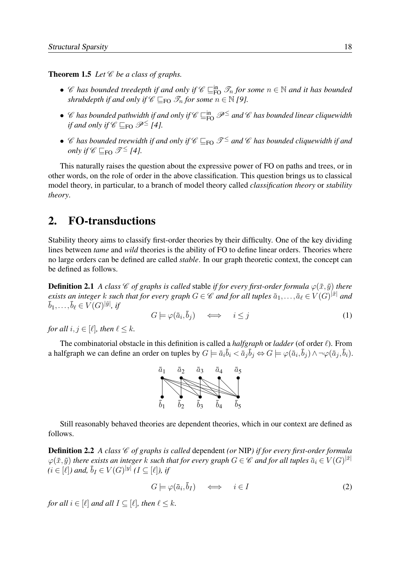**Theorem 1.5** *Let*  $\mathscr C$  *be a class of graphs.* 

- C has bounded treedepth if and only if  $C \sqsubseteq_{\text{FO}}^{\text{in}} \mathcal{I}_n$  for some  $n \in \mathbb{N}$  and it has bounded *shrubdepth if and only if*  $\mathscr{C} \sqsubseteq_{\mathsf{FO}} \mathscr{T}_n$  *for some*  $n \in \mathbb{N}$  *[9].*
- $\mathscr C$  has bounded pathwidth if and only if  $\mathscr C\sqsubseteq_{\text{FO}}^{\text{in}}\mathscr P^{\leq}$  and  $\mathscr C$  has bounded linear cliquewidth *if and only if*  $\mathscr{C} \sqsubset_{\mathsf{FO}} \mathscr{P}^{\leq}$  [4].
- C has bounded treewidth if and only if  $\mathscr{C} \sqsubseteq_{FO} \mathscr{T}^{\leq}$  and  $\mathscr{C}$  has bounded cliquewidth if and *only if*  $\mathscr{C} \sqsubset_{\text{FO}} \mathscr{T}^{\leq} 14$ .

This naturally raises the question about the expressive power of FO on paths and trees, or in other words, on the role of order in the above classification. This question brings us to classical model theory, in particular, to a branch of model theory called *classification theory* or *stability theory*.

#### 2. FO-transductions

[Stability theory aims to classify first-order theories by their difficulty. One of the key dividing](#page-2-0) lines between *tame* and *wild* theories is the ability of FO to define linear orders. Theories where no large orders can be defined are called *stable*. In our graph theoretic context, the concept can be defined as follows.

**Definition 2.1** *A class*  $\mathscr{C}$  *of graphs is called* stable *if for every first-order formula*  $\varphi(\bar{x}, \bar{y})$  *there exists an integer k such that for every graph*  $G \in \mathscr{C}$  *and for all tuples*  $\bar{a}_1, \ldots, \bar{a}_\ell \in V(G)^{|\bar{x}|}$  *and*  $\bar{b}_1,\ldots,\bar{b}_\ell\in V(G)^{|\bar{y}|},\,$ *if* 

$$
G \models \varphi(\bar{a}_i, \bar{b}_j) \quad \iff \quad i \leq j \tag{1}
$$

*for all*  $i, j \in [\ell]$ *, then*  $\ell \leq k$ *.* 

The combinatorial obstacle in this definition is called a *halfgraph* or *ladder* (of order  $\ell$ ). From a halfgraph we can define an order on tuples by  $G \models \bar{a}_i \bar{b}_i < \bar{a}_j \bar{b}_j \Leftrightarrow G \models \varphi(\bar{a}_i, \bar{b}_j) \wedge \neg \varphi(\bar{a}_j, \bar{b}_i)$ .



Still reasonably behaved theories are dependent theories, which in our context are defined as follows.

**Definition 2.2** *A class*  $\mathcal C$  *of graphs is called dependent (or NIP) if for every first-order formula*  $\varphi(\bar{x}, \bar{y})$  *there exists an integer* k *such that for every graph*  $G \in \mathscr{C}$  and for all tuples  $\bar{a}_i \in V(G)^{|\bar{x}|}$  $(i \in [\ell])$  and,  $\bar{b}_I \in V(G)^{|y|}$   $(I \subseteq [\ell])$ , if

$$
G \models \varphi(\bar{a}_i, \bar{b}_I) \iff i \in I \tag{2}
$$

*for all*  $i \in [\ell]$  *and all*  $I \subseteq [\ell]$ *, then*  $\ell \leq k$ *.*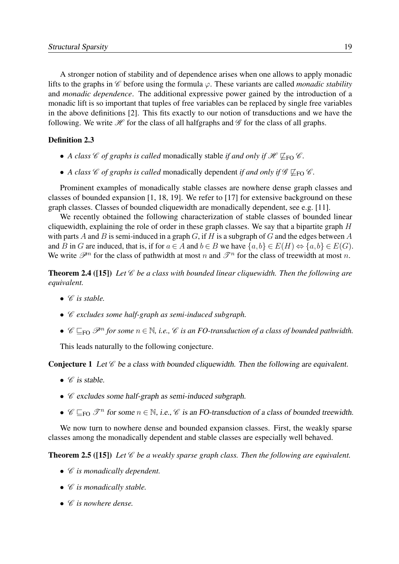A stronger notion of stability and of dependence arises when one allows to apply monadic lifts to the graphs in  $\mathscr C$  before using the formula  $\varphi$ . These variants are called *monadic stability* and *monadic dependence*. The additional expressive power gained by the introduction of a monadic lift is so important that tuples of free variables can be replaced by single free variables [in the above definitions \[2\]. This fits exactly to our notion of transductions and we have the](#page-3-0) following. We write  $\mathcal H$  for the class of all halfgraphs and  $\mathcal G$  for the class of all graphs.

#### Definition 2.3

- *A class*  $\mathscr{C}$  *of graphs is called* monadically stable *if and only if*  $\mathscr{H} \not\sqsubseteq_{FO} \mathscr{C}$ *.*
- *A class*  $\mathscr C$  *of graphs is called* monadically dependent *if and only if*  $\mathscr G \not\sqsubset_{\text{FO}} \mathscr C$ *.*

Prominent examples of monadically stable classes are nowhere dense graph classes and classes of bounded expansion [1, 18, 19]. We refer to [17] for extensive background on these graph classes. Classes of bounded cliquewidth are monadically dependent, see e.g. [11].

We recently obtained the following characterization of stable classes of bounded linear cliquewidth, explaining the role of order in these graph classes. We say that a bipartite graph  $H$ with parts A and B is semi-induced in a graph  $G$ , if H is a subgraph of G and the edges between A and B in G are induced, that is, if for  $a \in A$  and  $b \in B$  we have  $\{a, b\} \in E(H) \Leftrightarrow \{a, b\} \in E(G)$ . We write  $\mathscr{P}^n$  for the class of pathwidth at most n and  $\mathscr{T}^n$  for the class of treewidth at most n.

Theorem 2.4 ([15]) *Let* C *be a class with bounded linear cliquewidth. Then the following are equivalent.*

- $\bullet$  *C* is stable.
- C *excludes some half-graph as semi-induced subgraph.*
- $\mathscr{C} \sqsubseteq_{\text{FO}} \mathscr{P}^n$  for some  $n \in \mathbb{N}$ , *i.e.,*  $\mathscr{C}$  *is an FO-transduction of a class of bounded pathwidth.*

This leads naturally to the following conjecture.

**Conjecture 1** Let  $\mathcal C$  be a class with bounded cliquewidth. Then the following are equivalent.

- $\mathscr C$  is stable.
- $\mathscr C$  excludes some half-graph as semi-induced subgraph.
- $\mathscr{C} \sqsubseteq_{\text{FO}} \mathscr{T}^n$  for some  $n \in \mathbb{N}$ , i.e.,  $\mathscr{C}$  is an FO-transduction of a class of bounded treewidth.

We now turn to nowhere dense and bounded expansion classes. First, the weakly sparse classes among the monadically dependent and stable classes are especially well behaved.

Theorem 2.5 ([15]) *Let* C *be a weakly sparse graph class. Then the following are equivalent.*

- C *is monadically dependent.*
- C *is monadically stable.*
- C *is nowhere dense.*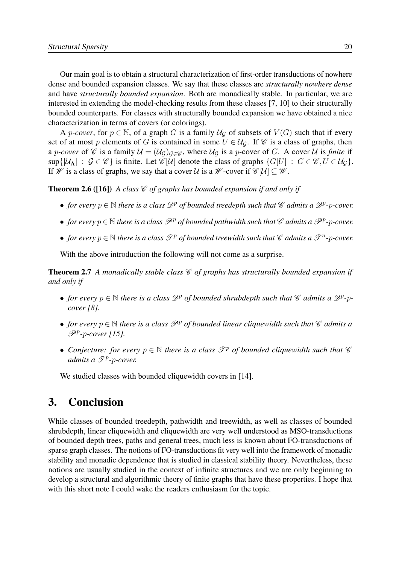Our main goal is to obtain a structural characterization of first-order transductions of nowhere dense and bounded expansion classes. We say that these classes are *structurally nowhere dense* and have *structurally bounded expansion*. Both are monadically stable. In particular, we are interested in extending the model-checking results from these classes [7, 10] to their structurally bounded counterparts. For classes with structurally bounded expansion we have obtained a nice characterization in terms of covers (or colorings).

A *p-cover*, for  $p \in \mathbb{N}$ , of a graph G is a family  $U_G$  of subsets of  $V(G)$  such that if every set of at most p elements of G is contained in some  $U \in \mathcal{U}_G$ . If  $\mathcal{C}$  is a class of graphs, then a *p-cover* of  $\mathscr C$  is a family  $\mathcal U = (\mathcal U_{\mathcal G})_{\mathcal G \in \mathscr C}$ , where  $\mathcal U_{\mathcal G}$  is a *p*-cover of  $G$ . A cover  $\mathcal U$  is *finite* if  $\sup\{|\mathcal{U}_A| : \mathcal{G} \in \mathscr{C}\}\$ is finite. Let  $\mathscr{C}[U]$  denote the class of graphs  $\{G[U] : G \in \mathscr{C}, U \in \mathcal{U}_G\}$ . If W is a class of graphs, we say that a cover U is a W-cover if  $\mathscr{C}[U] \subseteq \mathscr{W}$ .

**Theorem 2.6** ([16]) A class  $\mathcal C$  of graphs has bounded expansion if and only if

- *for every*  $p \in \mathbb{N}$  *there is a class*  $\mathscr{D}^p$  *of bounded treedepth such that*  $\mathscr{C}$  *admits a*  $\mathscr{D}^p$ - $p$ -cover.
- *for every*  $p \in \mathbb{N}$  *there is a class*  $\mathscr{P}^p$  *of bounded pathwidth such that*  $\mathscr{C}$  *admits a*  $\mathscr{P}^p$ - $p$ -cover.
- *for every*  $p \in \mathbb{N}$  *there is a class*  $\mathcal{T}^p$  *of bounded treewidth such that*  $\mathscr{C}$  *admits a*  $\mathscr{T}^n$ - $p$ -cover.

With the above introduction the following will not come as a surprise.

**Theorem 2.7** *A monadically stable class*  $\mathcal C$  *of graphs has structurally bounded expansion if and only if*

- *for every*  $p \in \mathbb{N}$  *there is a class*  $\mathscr{D}^p$  *of bounded shrubdepth such that*  $\mathscr{C}$  *admits a*  $\mathscr{D}^p$ - $p$ *cover [8].*
- *for every*  $p \in \mathbb{N}$  *there is a class*  $\mathcal{P}^p$  *of bounded linear cliquewidth such that*  $\mathcal C$  *admits a* P<sup>p</sup> *-*p*-cover [15].*
- Conjecture: for every  $p \in \mathbb{N}$  there is a class  $\mathcal{F}^p$  of bounded cliquewidth such that  $\mathscr{C}$ admits a  $\mathscr{T}^p$ -p-cover.

We studied classes with bounded cliquewidth covers in [14].

### 3. Conclusion

[While classes of bounded treedepth, pathwidth and treewidth, as well as classes of bounded](#page-4-1) shrubdepth, linear cliquewidth and cliquewidth are very well understood as MSO-transductions of bounded depth trees, paths and general trees, much less is known about FO-transductions of sparse graph classes. The notions of FO-transductions fit very well into the framework of monadic stability and monadic dependence that is studied in classical stability theory. Nevertheless, these notions are usually studied in the context of infinite structures and we are only beginning to develop a structural and algorithmic theory of finite graphs that have these properties. I hope that with this short note I could wake the readers enthusiasm for the topic.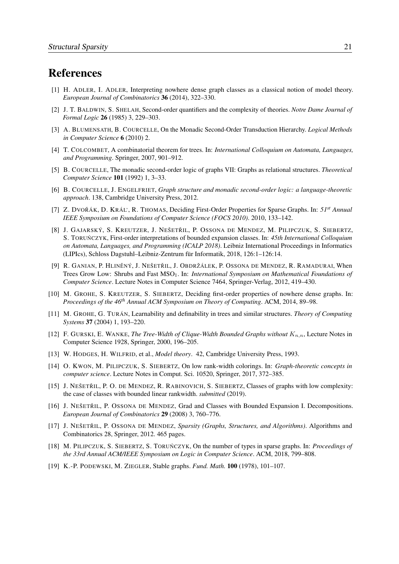### References

- [1] H. ADLER, I. ADLER[, Interpreting nowhere dense graph classes as a classical notion of model theory.](#page-5-1) *European Journal of Combinatorics* 36 (2014), 322–330.
- [2] J. T. BALDWIN, S. SHELAH, Second-order quantifiers and the complexity of theories. *Notre Dame Journal of Formal Logic* 26 (1985) 3, 229–303.
- [3] A. BLUMENSATH, B. COURCELLE, On the Monadic Second-Order Transduction Hierarchy. *Logical Methods in Computer Science* 6 (2010) 2.
- [4] T. COLCOMBET, A combinatorial theorem for trees. In: *International Colloquium on Automata, Languages, and Programming*. Springer, 2007, 901–912.
- [5] B. COURCELLE, The monadic second-order logic of graphs VII: Graphs as relational structures. *Theoretical Computer Science* 101 (1992) 1, 3–33.
- [6] B. COURCELLE, J. ENGELFRIET, *Graph structure and monadic second-order logic: a language-theoretic approach*. 138, Cambridge University Press, 2012.
- [7] Z. DVOŘÁK, D. KRÁL', R. THOMAS, Deciding First-Order Properties for Sparse Graphs. In: 51<sup>*st*</sup> Annual *IEEE Symposium on Foundations of Computer Science (FOCS 2010)*. 2010, 133–142.
- [8] J. GAJARSKÝ, S. KREUTZER, J. NEŠETŘIL, P. OSSONA DE MENDEZ, M. PILIPCZUK, S. SIEBERTZ, S. TORUNCZYK, First-order interpretations of bounded expansion classes. In: 45th International Colloquium *on Automata, Languages, and Programming (ICALP 2018)*. Leibniz International Proceedings in Informatics (LIPIcs), Schloss Dagstuhl–Leibniz-Zentrum für Informatik, 2018, 126:1–126:14.
- [9] R. GANIAN, P. HLINĚNÝ, J. NEŠETŘIL, J. OBDRŽÁLEK, P. OSSONA DE MENDEZ, R. RAMADURAI, When Trees Grow Low: Shrubs and Fast MSO<sub>1</sub>. In: *International Symposium on Mathematical Foundations of Computer Science*. Lecture Notes in Computer Science 7464, Springer-Verlag, 2012, 419–430.
- [10] M. GROHE, S. KREUTZER, S. SIEBERTZ, Deciding first-order properties of nowhere dense graphs. In: *Proceedings of the 46th Annual ACM Symposium on Theory of Computing*. ACM, 2014, 89–98.
- [11] M. GROHE, G. TURÁN, Learnability and definability in trees and similar structures. *Theory of Computing Systems* 37 (2004) 1, 193–220.
- [12] F. GURSKI, E. WANKE, *The Tree-Width of Clique-Width Bounded Graphs without*  $K_{n,n}$ , Lecture Notes in Computer Science 1928, Springer, 2000, 196–205.
- [13] W. HODGES, H. WILFRID, et al., *Model theory*. 42, Cambridge University Press, 1993.
- [14] O. KWON, M. PILIPCZUK, S. SIEBERTZ, On low rank-width colorings. In: *Graph-theoretic concepts in computer science*. Lecture Notes in Comput. Sci. 10520, Springer, 2017, 372–385.
- [15] J. NEŠETŘIL, P. O. DE MENDEZ, R. RABINOVICH, S. SIEBERTZ, Classes of graphs with low complexity: the case of classes with bounded linear rankwidth. *submitted* (2019).
- [16] J. NEŠETŘIL, P. OSSONA DE MENDEZ, Grad and Classes with Bounded Expansion I. Decompositions. *European Journal of Combinatorics* 29 (2008) 3, 760–776.
- [17] J. NEŠETŘIL, P. OSSONA DE MENDEZ, *Sparsity (Graphs, Structures, and Algorithms)*. Algorithms and Combinatorics 28, Springer, 2012. 465 pages.
- [18] M. PILIPCZUK, S. SIEBERTZ, S. TORUŃCZYK, On the number of types in sparse graphs. In: *Proceedings of the 33rd Annual ACM/IEEE Symposium on Logic in Computer Science*. ACM, 2018, 799–808.
- [19] K.-P. PODEWSKI, M. ZIEGLER, Stable graphs. *Fund. Math.* 100 (1978), 101–107.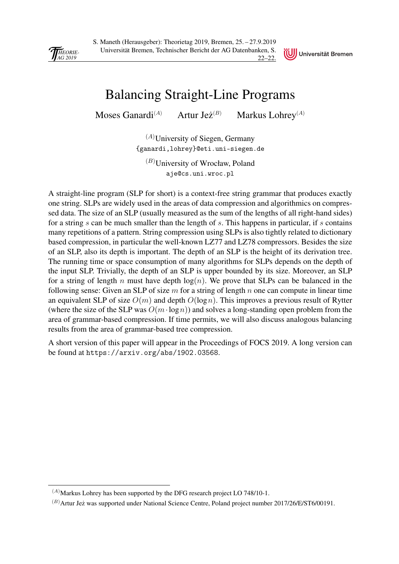<span id="page-25-0"></span>

S. Maneth (Herausgeber): Theorietag 2019, Bremen, 25. – 27.9.2019 Universität Bremen, Technischer Bericht der AG Datenbanken, S. 22–22.



## [Balancing Straight-Line Programs](#page-0-0)

Moses Ganardi<sup>(A)</sup> Artur Je $\dot{z}^{(B)}$ Markus Lohrey<sup>(A)</sup>

> $(A)$ University of Siegen, Germany {ganardi,lohrey}@eti.uni-siegen.de

 $(B)$ University of Wrocław, Poland aje@cs.uni.wroc.pl

A straight-line program (SLP for short) is a context-free string grammar that produces exactly one string. SLPs are widely used in the areas of data compression and algorithmics on compressed data. The size of an SLP (usually measured as the sum of the lengths of all right-hand sides) for a string s can be much smaller than the length of s. This happens in particular, if s contains many repetitions of a pattern. String compression using SLPs is also tightly related to dictionary based compression, in particular the well-known LZ77 and LZ78 compressors. Besides the size of an SLP, also its depth is important. The depth of an SLP is the height of its derivation tree. The running time or space consumption of many algorithms for SLPs depends on the depth of the input SLP. Trivially, the depth of an SLP is upper bounded by its size. Moreover, an SLP for a string of length n must have depth  $log(n)$ . We prove that SLPs can be balanced in the following sense: Given an SLP of size  $m$  for a string of length  $n$  one can compute in linear time an equivalent SLP of size  $O(m)$  and depth  $O(\log n)$ . This improves a previous result of Rytter (where the size of the SLP was  $O(m \cdot \log n)$ ) and solves a long-standing open problem from the area of grammar-based compression. If time permits, we will also discuss analogous balancing results from the area of grammar-based tree compression.

A short version of this paper will appear in the Proceedings of FOCS 2019. A long version can be found at https://arxiv.org/abs/1902.03568.

 $(A)$ Markus Lohrey has been supported by the DFG research project LO 748/10-1.

 $(B)$ Artur Jez was supported under National Science Centre, Poland project number 2017/26/E/ST6/00191.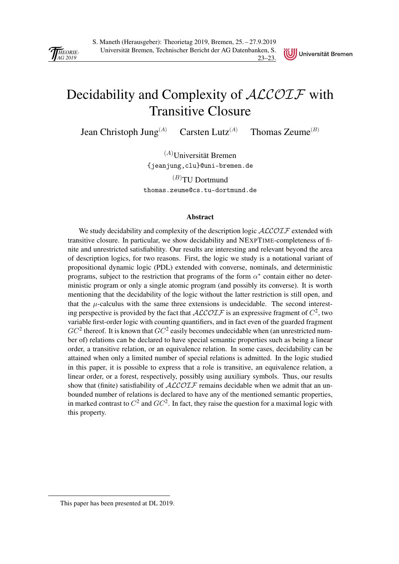<span id="page-26-0"></span>

Universität Bremen

## [Decidability and Complexity of](#page-0-0) ALCOIF with Transitive Closure

Jean Christoph Jung<sup>(A)</sup> Carsten Lutz<sup>(A)</sup> Thomas Zeume<sup>(B)</sup>

 $(A)$ Universität Bremen {jeanjung,clu}@uni-bremen.de

 $(B)$ TU Dortmund thomas.zeume@cs.tu-dortmund.de

#### Abstract

We study decidability and complexity of the description logic  $\text{ALCOLF}$  extended with transitive closure. In particular, we show decidability and NEXPTIME-completeness of finite and unrestricted satisfiability. Our results are interesting and relevant beyond the area of description logics, for two reasons. First, the logic we study is a notational variant of propositional dynamic logic (PDL) extended with converse, nominals, and deterministic programs, subject to the restriction that programs of the form  $\alpha^*$  contain either no deterministic program or only a single atomic program (and possibly its converse). It is worth mentioning that the decidability of the logic without the latter restriction is still open, and that the  $\mu$ -calculus with the same three extensions is undecidable. The second interesting perspective is provided by the fact that  $ALCOTF$  is an expressive fragment of  $C^2$ , two variable first-order logic with counting quantifiers, and in fact even of the guarded fragment  $GC^2$  thereof. It is known that  $GC^2$  easily becomes undecidable when (an unrestricted number of) relations can be declared to have special semantic properties such as being a linear order, a transitive relation, or an equivalence relation. In some cases, decidability can be attained when only a limited number of special relations is admitted. In the logic studied in this paper, it is possible to express that a role is transitive, an equivalence relation, a linear order, or a forest, respectively, possibly using auxiliary symbols. Thus, our results show that (finite) satisfiability of  $ALCOTF$  remains decidable when we admit that an unbounded number of relations is declared to have any of the mentioned semantic properties, in marked contrast to  $C^2$  and  $GC^2$ . In fact, they raise the question for a maximal logic with this property.

This paper has been presented at DL 2019.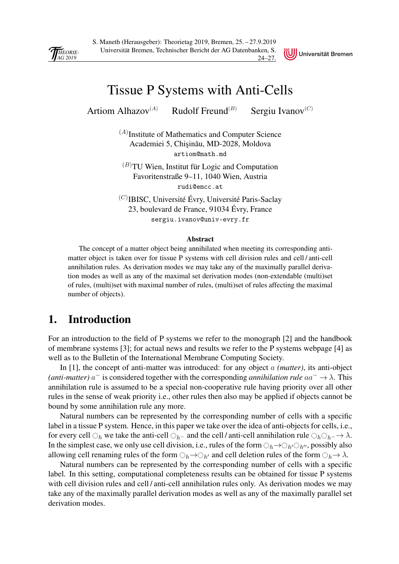<span id="page-27-0"></span>



## [Tissue P Systems with Anti-Cells](#page-0-0)

Artiom Alhazov<sup>(A)</sup> Rudolf Freund<sup>(B)</sup> Sergiu Ivanov<sup>(C)</sup>

 $(A)$ Institute of Mathematics and Computer Science Academiei 5, Chisinău, MD-2028, Moldova artiom@math.md

 $(B)$ TU Wien, Institut für Logic and Computation Favoritenstraße 9–11, 1040 Wien, Austria rudi@emcc.at

 $^{(C)}$ IBISC, Université Évry, Université Paris-Saclay 23, boulevard de France, 91034 Évry, France sergiu.ivanov@univ-evry.fr

#### Abstract

The concept of a matter object being annihilated when meeting its corresponding antimatter object is taken over for tissue P systems with cell division rules and cell / anti-cell annihilation rules. As derivation modes we may take any of the maximally parallel derivation modes as well as any of the maximal set derivation modes (non-extendable (multi)set of rules, (multi)set with maximal number of rules, (multi)set of rules affecting the maximal number of objects).

#### 1. Introduction

For an introduction to the field of P systems we refer to the monograph [2] and the handbook of membrane systems [3]; for actual news and results we refer to the P systems webpage [4] as well as to the Bulletin of the International Membrane Computing Society.

In [1], the concept of anti-matter was introduced: for any object a *(matter)*, its anti-object (*anti-matter*)  $a^-$  is considered together with the corresponding *annihilation rule*  $aa^- \rightarrow \lambda$ . This annihilation rule is assumed to be a special non-cooperative rule having priority over all other rules in the sense of weak priority i.e., other rules then also may be applied if objects cannot be bound by some annihilation rule any more.

Natural numbers can be represented by the corresponding number of cells with a specific label in a tissue P system. Hence, in this paper we take over the idea of anti-objects for cells, i.e., for every cell  $\bigcirc_h$  we take the anti-cell  $\bigcirc_{h^-}$  and the cell */* anti-cell annihilation rule  $\bigcirc_h \bigcirc_{h^-} \to \lambda$ . In the simplest case, we only use cell division, i.e., rules of the form  $\bigcirc_h \to \bigcirc_{h'} \bigcirc_{h''}$ , possibly also allowing cell renaming rules of the form  $\bigcirc_h \to \bigcirc_{h'}$  and cell deletion rules of the form  $\bigcirc_h \to \lambda$ .

Natural numbers can be represented by the corresponding number of cells with a specific label. In this setting, computational completeness results can be obtained for tissue P systems with cell division rules and cell/anti-cell annihilation rules only. As derivation modes we may take any of the maximally parallel derivation modes as well as any of the maximally parallel set derivation modes.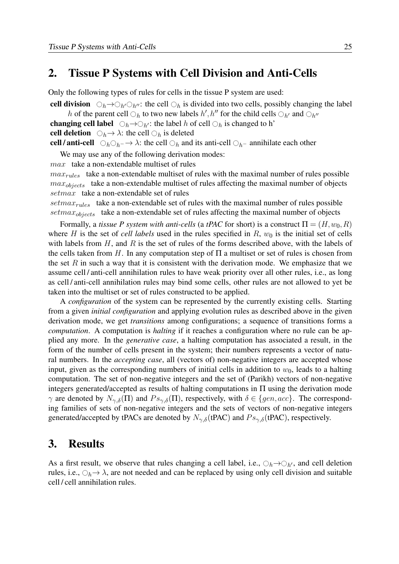#### [2. Tissue P Systems with Cell Division and Anti-Cells](#page-1-0)

Only the following types of rules for cells in the tissue P system are used:

cell division  $\bigcirc_h \to \bigcirc_{h'} \bigcirc_{h''}$ : the cell  $\bigcirc_h$  is divided into two cells, possibly changing the label h of the parent cell  $\bigcirc_h$  to two new labels  $h', h''$  for the child cells  $\bigcirc_{h'}$  and  $\bigcirc_{h''}$ 

**changing cell label**  $\bigcirc_h \to \bigcirc_{h'}$ : the label h of cell  $\bigcirc_h$  is changed to h'

cell deletion  $\bigcirc_h \rightarrow \lambda$ : the cell  $\bigcirc_h$  is deleted

cell / anti-cell  $\bigcirc_h \bigcirc_{h-} \to \lambda$ : the cell  $\bigcirc_h$  and its anti-cell  $\bigcirc_{h-}$  annihilate each other

We may use any of the following derivation modes:

max take a non-extendable multiset of rules

 $max_{rules}$  take a non-extendable multiset of rules with the maximal number of rules possible  $max_{objects}$  take a non-extendable multiset of rules affecting the maximal number of objects setmax take a non-extendable set of rules

 $setmax_{rules}$  take a non-extendable set of rules with the maximal number of rules possible  $setmax_{objects}$  take a non-extendable set of rules affecting the maximal number of objects

Formally, a *tissue P system with anti-cells* (a *tPAC* for short) is a construct  $\Pi = (H, w_0, R)$ where H is the set of *cell labels* used in the rules specified in  $R$ ,  $w_0$  is the initial set of cells with labels from  $H$ , and  $R$  is the set of rules of the forms described above, with the labels of the cells taken from H. In any computation step of  $\Pi$  a multiset or set of rules is chosen from the set  $R$  in such a way that it is consistent with the derivation mode. We emphasize that we assume cell / anti-cell annihilation rules to have weak priority over all other rules, i.e., as long as cell / anti-cell annihilation rules may bind some cells, other rules are not allowed to yet be taken into the multiset or set of rules constructed to be applied.

A *configuration* of the system can be represented by the currently existing cells. Starting from a given *initial configuration* and applying evolution rules as described above in the given derivation mode, we get *transitions* among configurations; a sequence of transitions forms a *computation*. A computation is *halting* if it reaches a configuration where no rule can be applied any more. In the *generative case*, a halting computation has associated a result, in the form of the number of cells present in the system; their numbers represents a vector of natural numbers. In the *accepting case*, all (vectors of) non-negative integers are accepted whose input, given as the corresponding numbers of initial cells in addition to  $w_0$ , leads to a halting computation. The set of non-negative integers and the set of (Parikh) vectors of non-negative integers generated/accepted as results of halting computations in  $\Pi$  using the derivation mode  $\gamma$  are denoted by  $N_{\gamma,\delta}(\Pi)$  and  $Ps_{\gamma,\delta}(\Pi)$ , respectively, with  $\delta \in \{gen, acc\}$ . The corresponding families of sets of non-negative integers and the sets of vectors of non-negative integers generated/accepted by tPACs are denoted by  $N_{\gamma,\delta}$ (tPAC) and  $Ps_{\gamma,\delta}$ (tPAC), respectively.

#### 3. Results

As a first result, we observe that rules changing a cell label, i.e.,  $\bigcirc_h \rightarrow \bigcirc_{h'}$ , and cell deletion rules, i.e.,  $\bigcirc_h \to \lambda$ , are not needed and can be replaced by using only cell division and suitable cell / cell annihilation rules.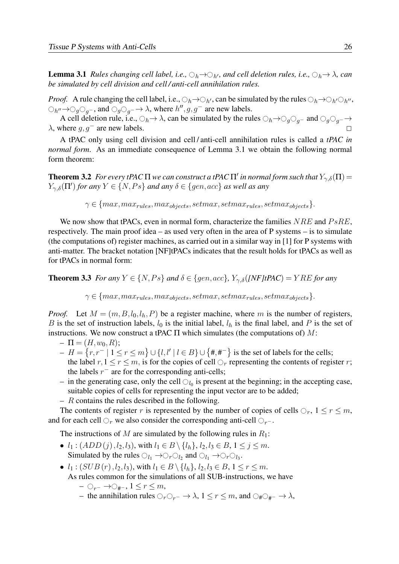**Lemma 3.1** *Rules changing cell label, i.e.,*  $\bigcirc_h \to \bigcirc_{h'}$ *, and cell deletion rules, i.e.,*  $\bigcirc_h \to \lambda$ *, can be simulated by cell division and cell / anti-cell annihilation rules.*

*Proof.* A rule changing the cell label, i.e.,  $\bigcirc_h \to \bigcirc_{h'}$ , can be simulated by the rules  $\bigcirc_h \to \bigcirc_{h'} \bigcirc_{h''}$ ,  $\bigcirc_{h''} \rightarrow \bigcirc_{g} \bigcirc_{g^-}$ , and  $\bigcirc_{g} \bigcirc_{g^-} \rightarrow \lambda$ , where  $h'', g, g^-$  are new labels.

A cell deletion rule, i.e.,  $\bigcirc_h \to \lambda$ , can be simulated by the rules  $\bigcirc_h \to \bigcirc_g \bigcirc_g$ - and  $\bigcirc_g \bigcirc_g$ - $\to$  $\lambda$ , where  $q, q^-$  are new labels.

A tPAC only using cell division and cell / anti-cell annihilation rules is called a *tPAC in normal form*. As an immediate consequence of Lemma 3.1 we obtain the following normal form theorem:

**Theorem 3.2** For every tPAC  $\Pi$  we can construct a tPAC  $\Pi'$  in normal form such that  $Y_{\gamma,\delta}(\Pi)$  =  $Y_{\gamma,\delta}(\Pi')$  for any  $Y \in \{N,Ps\}$  and any  $\delta \in \{gen,acc\}$  as well as any

 $\gamma \in \{max, max_{rules}, max_{objects}, setmax, setmax_{rules}, setmax_{objects}\}.$ 

We now show that tPACs, even in normal form, characterize the families  $NRE$  and  $PsRE$ , respectively. The main proof idea – as used very often in the area of P systems – is to simulate [\(the computations of\) register machines, as carried out in a similar way in \[1\] for P systems with](#page-2-0) anti-matter. The bracket notation [NF]tPACs indicates that the result holds for tPACs as well as for tPACs in normal form:

**Theorem 3.3** *For any*  $Y \in \{N, Ps\}$  *and*  $\delta \in \{gen, acc\}$ *,*  $Y_{\gamma,\delta}(INF)$ *tPAC* $) = YRE$  *for any* 

 $\gamma \in \{max, max_{rules}, max_{objects}, setmax, setmax_{rules}, setmax_{objects}\}.$ 

*Proof.* Let  $M = (m, B, l_0, l_h, P)$  be a register machine, where m is the number of registers, B is the set of instruction labels,  $l_0$  is the initial label,  $l_h$  is the final label, and P is the set of instructions. We now construct a tPAC  $\Pi$  which simulates (the computations of) M:

- $\Pi = (H, w_0, R);$
- $-H = \{r, r^- \mid 1 \le r \le m\} \cup \{l, l' \mid l \in B\} \cup \{l, l^+ \mid r^- \}$  is the set of labels for the cells; the label  $r, 1 \le r \le m$ , is for the copies of cell  $\bigcirc_r$  representing the contents of register r; the labels  $r^-$  are for the corresponding anti-cells;
- in the generating case, only the cell  $\bigcirc_{l_0}$  is present at the beginning; in the accepting case, suitable copies of cells for representing the input vector are to be added;
- $-$  R contains the rules described in the following.

The contents of register r is represented by the number of copies of cells  $\bigcirc_r$ ,  $1 \le r \le m$ , and for each cell  $\bigcirc_r$  we also consider the corresponding anti-cell  $\bigcirc_{r}$ -.

The instructions of M are simulated by the following rules in  $R_1$ :

- $l_1: (ADD(j), l_2, l_3)$ , with  $l_1 \in B \setminus \{l_h\}, l_2, l_3 \in B, 1 \le j \le m$ . Simulated by the rules  $\bigcirc_{l_1} \rightarrow \bigcirc_r \bigcirc_{l_2}$  and  $\bigcirc_{l_1} \rightarrow \bigcirc_r \bigcirc_{l_3}$ .
- $l_1: (SUB(r), l_2, l_3),$  with  $l_1 \in B \setminus \{l_h\}, l_2, l_3 \in B, 1 \le r \le m$ .

As rules common for the simulations of all SUB-instructions, we have

- $\odot_{r}$  → $\odot_{\#}$ ,  $1 \leq r \leq m$ ,
- the annihilation rules  $\bigcirc_r \bigcirc_{r-} \to \lambda$ , 1 ≤ r ≤ m, and  $\bigcirc_{\#} \bigcirc_{\#} \to \lambda$ ,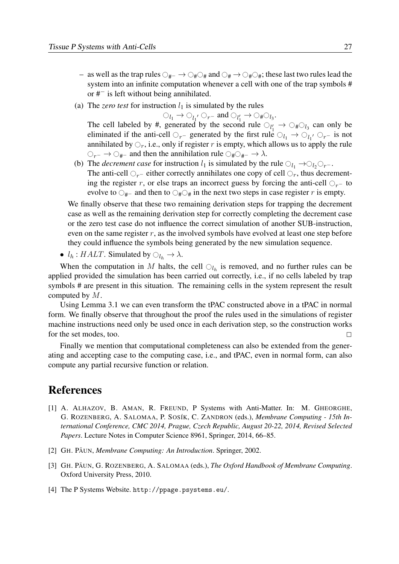- as well as the trap rules  $\bigcirc_{\#} \to \bigcirc_{\#} \bigcirc_{\#}$  and  $\bigcirc_{\#} \to \bigcirc_{\#} \bigcirc_{\#}$ ; these last two rules lead the system into an infinite computation whenever a cell with one of the trap symbols # or #− is left without being annihilated.
- (a) The *zero test* for instruction  $l_1$  is simulated by the rules

 $\bigcirc_{l_1} \rightarrow \bigcirc_{l_1'} \bigcirc_{r^-}$  and  $\bigcirc_{l'_1} \rightarrow \bigcirc_{\#} \bigcirc_{l_3}$ .

The cell labeled by #, generated by the second rule  $\bigcirc_{l'_1} \rightarrow \bigcirc_{\#} \bigcirc_{l_3}$  can only be eliminated if the anti-cell  $\bigcirc_{r-}$  generated by the first rule  $\bigcirc_{l_1} \rightarrow \bigcirc_{l_1'} \bigcirc_{r-}$  is not annihilated by  $\bigcirc_r$ , i.e., only if register r is empty, which allows us to apply the rule  $\bigcirc_{r^-} \to \bigcirc_{\#^-}$  and then the annihilation rule  $\bigcirc_{\# \bigcirc_{\#^-} \to \lambda$ .

(b) The *decrement case* for instruction  $l_1$  is simulated by the rule  $\bigcirc_{l_1} \rightarrow \bigcirc_{l_2} \bigcirc_{r^-}.$ The anti-cell  $\bigcirc_{r-}$  either correctly annihilates one copy of cell  $\bigcirc_r$ , thus decrementing the register r, or else traps an incorrect guess by forcing the anti-cell  $\bigcirc_{r-}$  to evolve to  $\bigcirc_{\#^-}$  and then to  $\bigcirc_{\#}\bigcirc_{\#}$  in the next two steps in case register r is empty.

We finally observe that these two remaining derivation steps for trapping the decrement case as well as the remaining derivation step for correctly completing the decrement case or the zero test case do not influence the correct simulation of another SUB-instruction, even on the same register  $r$ , as the involved symbols have evolved at least one step before they could influence the symbols being generated by the new simulation sequence.

•  $l_h : HALT$ . Simulated by  $\bigcirc_{l_h} \to \lambda$ .

When the computation in M halts, the cell  $\bigcirc_{l_h}$  is removed, and no further rules can be [applied provided the simulation has been carried out correctly, i.e., if no cells labeled by trap](#page-3-0) symbols # are present in this situation. The remaining cells in the system represent the result computed by M.

Using Lemma 3.1 we can even transform the tPAC constructed above in a tPAC in normal form. We finally observe that throughout the proof the rules used in the simulations of register machine instructions need only be used once in each derivation step, so the construction works for the set modes, too.  $\Box$ 

Finally we mention that computational completeness can also be extended from the generating and accepting case to the computing case, i.e., and tPAC, even in normal form, can also compute any partial recursive function or relation.

#### References

- [1] A. ALHAZOV, B. AMAN, R. FREUND, P Systems with Anti-Matter. In: M. GHEORGHE, G. ROZENBERG, A. SALOMAA, P. SOSÍK, C. ZANDRON (eds.), *Membrane Computing - 15th International Conference, CMC 2014, Prague, Czech Republic, August 20-22, 2014, Revised Selected Papers*. Lecture Notes in Computer Science 8961, Springer, 2014, 66–85.
- [2] GH. PAUN, *Membrane Computing: An Introduction*. Springer, 2002.
- [3] GH. PAUN, G. ROZENBERG, A. SALOMAA (eds.), *The Oxford Handbook of Membrane Computing*. Oxford University Press, 2010.
- [4] The P Systems Website. http://ppage.psystems.eu/.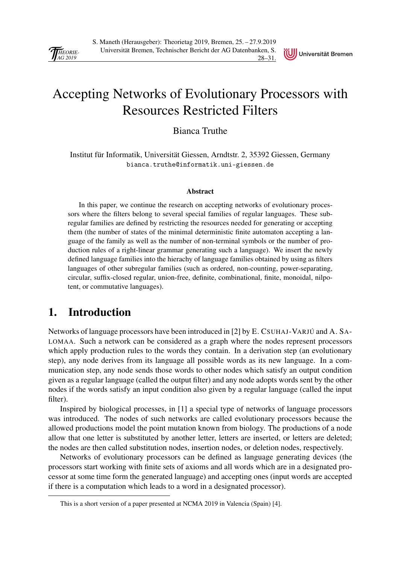

## <span id="page-31-0"></span>[Accepting Networks of Evolutionary Processors with](#page-0-0) Resources Restricted Filters

Bianca Truthe

Institut für Informatik, Universität Giessen, Arndtstr. 2, 35392 Giessen, Germany bianca.truthe@informatik.uni-giessen.de

#### Abstract

In this paper, we continue the research on accepting networks of evolutionary processors where the filters belong to several special families of regular languages. These subregular families are defined by restricting the resources needed for generating or accepting them (the number of states of the minimal deterministic finite automaton accepting a language of the family as well as the number of non-terminal symbols or the number of production rules of a right-linear grammar generating such a language). We insert the newly defined language families into the hierachy of language families obtained by using as filters languages of other subregular families (such as ordered, non-counting, power-separating, circular, suffix-closed regular, union-free, definite, combinational, finite, monoidal, nilpotent, or commutative languages).

## 1. Introduction

Networks of language processors have been introduced in [2] by E. CSUHAJ-VARJÚ and A. SA-LOMAA. Such a network can be considered as a graph where the nodes represent processors which apply production rules to the words they contain. In a derivation step (an evolutionary step), any node derives from its language all possible words as its new language. In a communication step, any node sends those words to other nodes which satisfy an output condition given as a regular language (called the output filter) and any node adopts words sent by the other nodes if the words satisfy an input condition also given by a regular language (called the input filter).

Inspired by biological processes, in [1] a special type of networks of language processors was introduced. The nodes of such networks are called evolutionary processors because the allowed productions model the point mutation known from biology. The productions of a node allow that one letter is substituted by another letter, letters are inserted, or letters are deleted; the nodes are then called substitution nodes, insertion nodes, or deletion nodes, respectively.

Networks of evolutionary processors can be defined as language generating devices (the processors start working with finite sets of axioms and all words which are in a designated processor at some time form the generated language) and accepting ones (input words are accepted if there is a computation which leads to a word in a designated processor).

This is a short version of a paper presented at NCMA 2019 in Valencia (Spain) [4].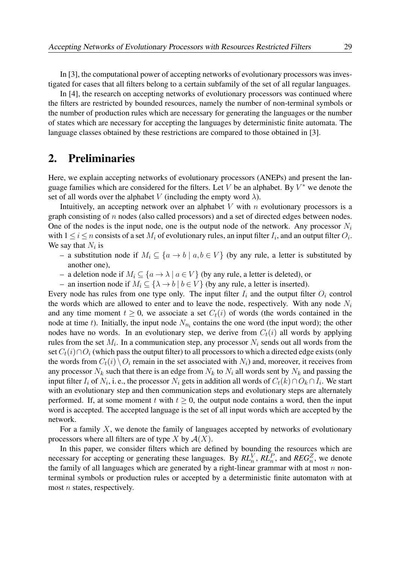In [3], the computational power of accepting networks of evolutionary processors was investigated for cases that all filters belong to a certain subfamily of the set of all regular languages.

In [4], the research on accepting networks of evolutionary processors was continued where [the filters are restricted by bounded resources, namely the number of non-terminal symbols or](#page-1-0) the number of production rules which are necessary for generating the languages or the number of states which are necessary for accepting the languages by deterministic finite automata. The language classes obtained by these restrictions are compared to those obtained in [3].

#### 2. Preliminaries

Here, we explain accepting networks of evolutionary processors (ANEPs) and present the language families which are considered for the filters. Let V be an alphabet. By  $V^*$  we denote the set of all words over the alphabet V (including the empty word  $\lambda$ ).

Intuitively, an accepting network over an alphabet  $V$  with  $n$  evolutionary processors is a graph consisting of n nodes (also called processors) and a set of directed edges between nodes. One of the nodes is the input node, one is the output node of the network. Any processor  $N_i$ with  $1 \le i \le n$  consists of a set  $M_i$  of evolutionary rules, an input filter  $I_i$ , and an output filter  $O_i$ . We say that  $N_i$  is

- a substitution node if  $M_i \subseteq \{a \to b \mid a, b \in V\}$  (by any rule, a letter is substituted by another one),
- a deletion node if  $M_i \subseteq \{a \to \lambda \mid a \in V\}$  (by any rule, a letter is deleted), or
- an insertion node if  $M_i \subseteq {\{\lambda \to b \mid b \in V\}}$  (by any rule, a letter is inserted).

Every node has rules from one type only. The input filter  $I_i$  and the output filter  $O_i$  control the words which are allowed to enter and to leave the node, respectively. With any node  $N_i$ and any time moment  $t \geq 0$ , we associate a set  $C_t(i)$  of words (the words contained in the node at time t). Initially, the input node  $N_{n_i}$  contains the one word (the input word); the other nodes have no words. In an evolutionary step, we derive from  $C_t(i)$  all words by applying rules from the set  $M_i$ . In a communication step, any processor  $N_i$  sends out all words from the set  $C_t(i) \cap O_i$  (which pass the output filter) to all processors to which a directed edge exists (only the words from  $C_t(i) \setminus O_i$  remain in the set associated with  $N_i$ ) and, moreover, it receives from any processor  $N_k$  such that there is an edge from  $N_k$  to  $N_i$  all words sent by  $N_k$  and passing the input filter  $I_i$  of  $N_i$ , i.e., the processor  $N_i$  gets in addition all words of  $C_t(k) \cap O_k \cap I_i$ . We start with an evolutionary step and then communication steps and evolutionary steps are alternately performed. If, at some moment t with  $t > 0$ , the output node contains a word, then the input word is accepted. The accepted language is the set of all input words which are accepted by the network.

For a family  $X$ , we denote the family of languages accepted by networks of evolutionary processors where all filters are of type X by  $A(X)$ .

In this paper, we consider filters which are defined by bounding the resources which are necessary for accepting or generating these languages. By  $RL_n^V$ ,  $RL_n^P$ , and  $REG_n^Z$ , we denote the family of all languages which are generated by a right-linear grammar with at most  $n$  nonterminal symbols or production rules or accepted by a deterministic finite automaton with at most  $n$  states, respectively.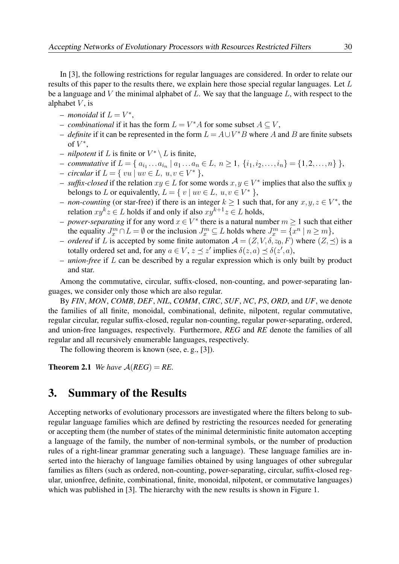In [3], the following restrictions for regular languages are considered. In order to relate our results of this paper to the results there, we explain here those special regular languages. Let L be a language and V the minimal alphabet of  $L$ . We say that the language  $L$ , with respect to the alphabet  $V$ , is

- $-$  *monoidal* if  $L = V^*$ ,
- − *combinational* if it has the form  $L = V^*A$  for some subset  $A \subseteq V$ ,
- $-$  *definite* if it can be represented in the form  $L = A \cup V^*B$  where A and B are finite subsets of  $V^*,$
- $-$  *nilpotent* if L is finite or  $V^* \setminus L$  is finite,
- *− commutative* if  $L = \{ a_{i_1} \ldots a_{i_n} \mid a_1 \ldots a_n \in L, n \ge 1, \{i_1, i_2, \ldots, i_n\} = \{1, 2, \ldots, n\} \}$ ,
- $-$  *circular* if  $L = \{ vu | uv \in L, u, v \in V^* \}$ ,
- $\sim$  *suffix-closed* if the relation  $xy \in L$  for some words  $x, y \in V^*$  implies that also the suffix y belongs to L or equivalently,  $L = \{ v \mid uv \in L, u, v \in V^* \}$ ,
- *non-counting* (or star-free) if there is an integer  $k \ge 1$  such that, for any  $x, y, z \in V^*$ , the relation  $xy^k z \in L$  holds if and only if also  $xy^{k+1} z \in L$  holds,
- *power-separating* if for any word  $x \in V^*$  there is a natural number  $m \ge 1$  such that either the equality  $J_x^m \cap L = \emptyset$  or the inclusion  $J_x^m \subseteq L$  holds where  $J_x^m = \{x^n \mid n \ge m\}$ ,
- *ordered* if L is accepted by some finite automaton  $A = (Z, V, \delta, z_0, F)$  where  $(Z, \prec)$  is a totally ordered set and, for any  $a \in V$ ,  $z \preceq z'$  implies  $\delta(z, a) \preceq \delta(z', a)$ ,
- *union-free* if L can be described by a regular expression which is only built by product and star.

Among the commutative, circular, suffix-closed, non-counting, and power-separating languages, we consider only those which are also regular.

By *FIN*, *MON*, *COMB*, *DEF*, *NIL*, *COMM*, *CIRC*, *SUF*, *NC*, *PS*, *ORD*, and *UF*, we denote the families of all finite, monoidal, combinational, definite, nilpotent, regular commutative, regular circular, regular suffix-closed, regular non-counting, regular power-separating, ordered, and union-free languages, respectively. Furthermore, *REG* and *RE* denote the families of all regular and all recursively enumerable languages, respectively.

The following theorem is known (see, e. g., [3]).

**Theorem 2.1** *We have*  $A(REG) = RE$ .

#### 3. Summary of the Results

Accepting networks of evolutionary processors are investigated where the filters belong to subregular language families which are defined by restricting the resources needed for generating or accepting them (the number of states of the minimal deterministic finite automaton accepting [a language of the family, the number of non-terminal symbols, or the number of production](#page-2-0) rules of a right-linear grammar generating such a language). These language families are inserted into the hierachy of language families obtained by using languages of other subregular families as filters (such as ordered, non-counting, power-separating, circular, suffix-closed regular, unionfree, definite, combinational, finite, monoidal, nilpotent, or commutative languages) which was published in [3]. The hierarchy with the new results is shown in Figure 1.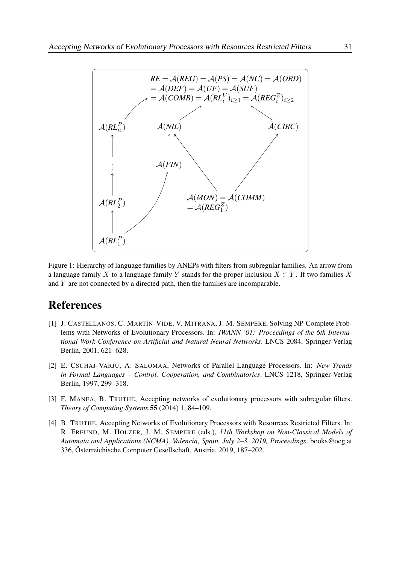

[Figure 1: Hierarchy of language families by ANEPs with filters from subregular families. An arrow from](#page-3-0) a language family X to a language family Y stands for the proper inclusion  $X \subset Y$ . If two families X and Y are not connected by a directed path, then the families are incomparable.

### References

- [1] J. CASTELLANOS, C. MARTÍN-VIDE, V. MITRANA, J. M. SEMPERE, Solving NP-Complete Problems with Networks of Evolutionary Processors. In: *IWANN '01: Proceedings of the 6th International Work-Conference on Artificial and Natural Neural Networks*. LNCS 2084, Springer-Verlag Berlin, 2001, 621–628.
- [2] E. CSUHAJ-VARJÚ, A. SALOMAA, Networks of Parallel Language Processors. In: *New Trends in Formal Languages – Control, Cooperation, and Combinatorics*. LNCS 1218, Springer-Verlag Berlin, 1997, 299–318.
- [3] F. MANEA, B. TRUTHE, Accepting networks of evolutionary processors with subregular filters. *Theory of Computing Systems* 55 (2014) 1, 84–109.
- [4] B. TRUTHE, Accepting Networks of Evolutionary Processors with Resources Restricted Filters. In: R. FREUND, M. HOLZER, J. M. SEMPERE (eds.), *11th Workshop on Non-Classical Models of Automata and Applications (NCMA), Valencia, Spain, July 2–3, 2019, Proceedings*. books@ocg.at 336, Österreichische Computer Gesellschaft, Austria, 2019, 187–202.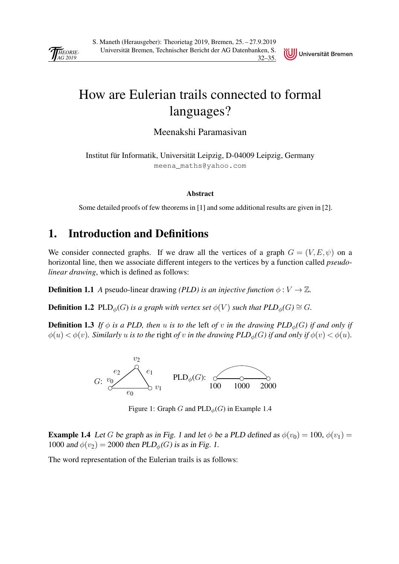<span id="page-35-0"></span>

### UJ Universität Bremen

## [How are Eulerian trails connected to formal](#page-0-0) languages?

Meenakshi Paramasivan

Institut für Informatik, Universität Leipzig, D-04009 Leipzig, Germany meena\_maths@yahoo.com

#### Abstract

Some detailed proofs of few theorems in [1] and some additional results are given in [2].

### 1. Introduction and Definitions

We consider connected graphs. If we draw all the vertices of a graph  $G = (V, E, \psi)$  on a horizontal line, then we associate different integers to the vertices by a function called *pseudolinear drawing*, which is defined as follows:

**Definition 1.1** *A* pseudo-linear drawing *(PLD)* is an injective function  $\phi: V \to \mathbb{Z}$ .

**Definition 1.2** PLD<sub> $\phi$ </sub> $(G)$  *is a graph with vertex set*  $\phi$  $(V)$  *such that PLD*<sub> $\phi$ </sub> $(G) \cong G$ *.* 

**Definition 1.3** *If*  $\phi$  *is a PLD, then u is to the* left *of v in the drawing PLD*<sub> $\phi$ </sub>(*G*) *if and only if*  $\phi(u) < \phi(v)$ *. Similarly u is to the right of v in the drawing PLD<sub>* $\phi$ *</sub>(G) if and only if*  $\phi(v) < \phi(u)$ *<i>.* 



Figure 1: Graph G and  $PLD_{\phi}(G)$  in Example 1.4

**Example 1.4** Let G be graph as in Fig. 1 and let  $\phi$  be a PLD defined as  $\phi(v_0) = 100$ ,  $\phi(v_1) =$ 1000 and  $\phi(v_2) = 2000$  then  $PLD_{\phi}(G)$  is as in Fig. 1.

The word representation of the Eulerian trails is as follows: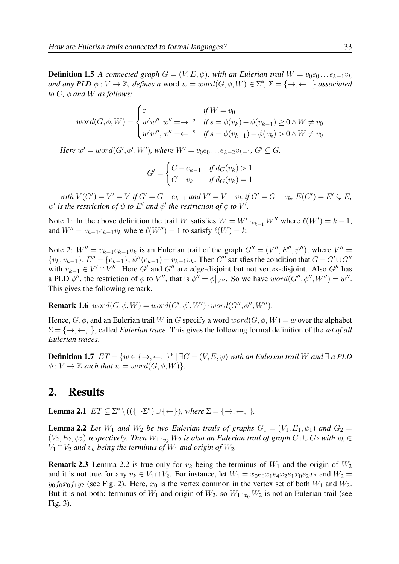**Definition 1.5** *A connected graph*  $G = (V, E, \psi)$ *, with an Eulerian trail*  $W = v_0e_0 \dots e_{k-1}v_k$ *and any PLD*  $\phi: V \to \mathbb{Z}$ , defines a word  $w = word(G, \phi, W) \in \Sigma^*$ ,  $\Sigma = \{\to, \leftarrow, \cdot | \}$  associated *to*  $G$ *,*  $\phi$  *and*  $W$  *as follows:* 

$$
word(G, \phi, W) = \begin{cases} \varepsilon & \text{if } W = v_0 \\ w'w'', w'' = \rightarrow |s| & \text{if } s = \phi(v_k) - \phi(v_{k-1}) \ge 0 \land W \ne v_0 \\ w'w'', w'' = \leftarrow |s| & \text{if } s = \phi(v_{k-1}) - \phi(v_k) > 0 \land W \ne v_0 \end{cases}
$$

*Here*  $w' = word(G', \phi', W')$ , where  $W' = v_0 e_0 ... e_{k-2} v_{k-1}$ ,  $G' \subsetneq G$ ,

$$
G' = \begin{cases} G - e_{k-1} & \text{if } d_G(v_k) > 1 \\ G - v_k & \text{if } d_G(v_k) = 1 \end{cases}
$$

 $with V(G') = V' = V$  *if*  $G' = G - e_{k-1}$  *and*  $V' = V - v_k$  *if*  $G' = G - v_k$ *,*  $E(G') = E' \subsetneq E$ *,*  $\psi'$  is the restriction of  $\psi$  to  $E'$  and  $\phi'$  the restriction of  $\phi$  to  $V'.$ 

Note 1: In the above definition the trail W satisfies  $W = W' \cdot_{v_{k-1}} W''$  where  $\ell(W') = k - 1$ , and  $W'' = v_{k-1}e_{k-1}v_k$  where  $\ell(W'') = 1$  to satisfy  $\ell(W) = k$ .

Note 2:  $W'' = v_{k-1}e_{k-1}v_k$  is an Eulerian trail of the graph  $G'' = (V'', E'', \psi'')$ , where  $V'' =$  $\{v_k, v_{k-1}\}, E'' = \{e_{k-1}\}, \psi''(e_{k-1}) = v_{k-1}v_k.$  Then G'' satisfies the condition that  $G = G' \cup G''$ with  $v_{k-1} \in V' \cap V''$ . Here G' and G'' are edge-disjoint but not vertex-disjoint. Also G'' has a PLD  $\phi''$ , the restriction of  $\phi$  to  $V''$ , that is  $\phi'' = \phi|_{V''}$ . So we have  $word(G'', \phi'', W'') = w''$ . This gives the following remark.

**Remark 1.6**  $word(G, \phi, W) = word(G', \phi', W') \cdot word(G'', \phi'', W'')$ .

Hence,  $G, \phi$ , and an Eulerian trail W in G specify a word  $word(G, \phi, W) = w$  over the alphabet  $\Sigma = \{\rightarrow, \leftarrow, \ldots\}$ , called *Eulerian trace*. This gives the following formal definition of the *set of all Eulerian traces*.

**Definition 1.7**  $ET = \{w \in \{\rightarrow, \leftarrow, \mid\}^* \mid \exists G = (V, E, \psi) \text{ with an Eulerian trail } W \text{ and } \exists \text{ a } PLD$  $\phi: V \to \mathbb{Z}$  *such that*  $w = word(G, \phi, W)$ *.* 

#### 2. Results

**Lemma 2.1**  $ET \subseteq \Sigma^* \setminus ((\{\|\Sigma^*) \cup \{\leftarrow\})$ *, where*  $\Sigma = \{\rightarrow, \leftarrow, \|\}.$ 

**Lemma 2.2** *Let*  $W_1$  *and*  $W_2$  *be two Eulerian trails of graphs*  $G_1 = (V_1, E_1, \psi_1)$  *and*  $G_2$  $(V_2, E_2, \psi_2)$  *respectively. Then*  $W_1 \cdot_{v_k} W_2$  *is also an Eulerian trail of graph*  $G_1 \cup G_2$  *with*  $v_k \in$  $V_1 \cap V_2$  *and*  $v_k$  *being the terminus of*  $W_1$  *and origin of*  $W_2$ *.* 

**Remark 2.3** Lemma 2.2 is true only for  $v_k$  being the terminus of  $W_1$  and the origin of  $W_2$ and it is not true for any  $v_k \in V_1 \cap V_2$ . For instance, let  $W_1 = x_0 e_0 x_1 e_4 x_2 e_1 x_0 e_2 x_3$  and  $W_2 =$  $y_0f_0x_0f_1y_2$  (see Fig. 2). Here,  $x_0$  is the vertex common in the vertex set of both  $W_1$  and  $W_2$ . But it is not both: terminus of  $W_1$  and origin of  $W_2$ , so  $W_1 \cdot_{x_0} W_2$  is not an Eulerian trail (see Fig. 3).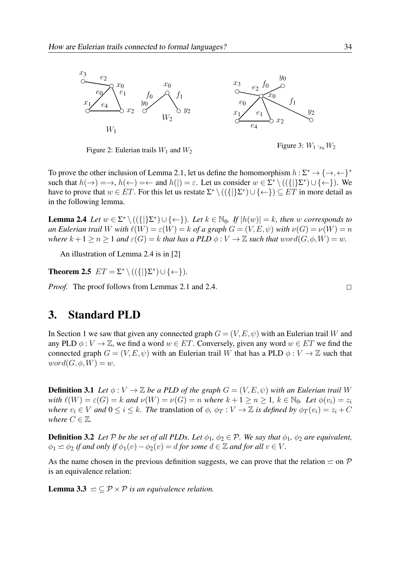

Figure 2: Eulerian trails  $W_1$  and  $W_2$ 

Figure 3:  $W_1 \cdot_{x_0} W_2$ 

To prove the other inclusion of Lemma 2.1, let us define the homomorphism  $h: \Sigma^* \to \{\to, \leftarrow\}^*$ such that  $h(\rightarrow) = \rightarrow$ ,  $h(\leftarrow) = \leftarrow$  and  $h(|) = \varepsilon$ . Let us consider  $w \in \Sigma^* \setminus ((\{|\}\Sigma^*) \cup \{\leftarrow\})$ . We have to prove that  $w \in ET$ . For this let us restate  $\Sigma^* \setminus ((\{|}\Sigma^*) \cup \{\leftarrow\}) \subseteq ET$  in more detail as in the following lemma.

**Lemma 2.4** *Let*  $w \in \Sigma^* \setminus ((\{\|\Sigma^*) \cup \{\leftarrow\}\})$ *. Let*  $k \in \mathbb{N}_0$ *. If*  $|h(w)| = k$ *, then* w *corresponds to an Eulerian trail* W *with*  $\ell(W) = \varepsilon(W) = k$  *of a graph*  $G = (V, E, \psi)$  *with*  $\nu(G) = \nu(W) = n$ *where*  $k + 1 \ge n \ge 1$  *and*  $\varepsilon(G) = k$  *that has a PLD*  $\phi: V \to \mathbb{Z}$  *such that*  $word(G, \phi, W) = w$ .

An illustration of Lemma 2.4 is in [2]

**Theorem 2.5**  $ET = \Sigma^* \setminus ((\{|\}\Sigma^*) \cup \{\leftarrow\}).$ 

*Proof.* The proof follows from Lemmas 2.1 and 2.4.  $\Box$ 

### 3. Standard PLD

In Section 1 we saw that given any connected graph  $G = (V, E, \psi)$  with an Eulerian trail W and any PLD  $\phi: V \to \mathbb{Z}$ , we find a word  $w \in ET$ . Conversely, given any word  $w \in ET$  we find the connected graph  $G = (V, E, \psi)$  with an Eulerian trail W that has a PLD  $\phi : V \to \mathbb{Z}$  such that  $word(G, \phi, W) = w.$ 

**Definition 3.1** *Let*  $\phi: V \to \mathbb{Z}$  *be a PLD of the graph*  $G = (V, E, \psi)$  *with an Eulerian trail* W *with*  $\ell(W) = \varepsilon(G) = k$  *and*  $\nu(W) = \nu(G) = n$  *where*  $k + 1 \ge n \ge 1$ ,  $k \in \mathbb{N}_0$ *. Let*  $\phi(v_i) = z_i$ *where*  $v_i \in V$  *and*  $0 \le i \le k$ *. The translation of*  $\phi$ *,*  $\phi_T : V \to \mathbb{Z}$  *<i>is defined by*  $\phi_T(v_i) = z_i + C$ *where*  $C \in \mathbb{Z}$ *.* 

**Definition 3.2** *Let*  $P$  *be the set of all PLDs. Let*  $\phi_1$ ,  $\phi_2 \in P$ *. We say that*  $\phi_1$ *,*  $\phi_2$  *are equivalent,*  $\phi_1 \simeq \phi_2$  *if and only if*  $\phi_1(v) - \phi_2(v) = d$  *for some*  $d \in \mathbb{Z}$  *and for all*  $v \in V$ *.* 

[As the name chosen in the previous definition suggests, we can prove that the relation](#page-2-0)  $\leq$  on  $\mathcal P$ is an equivalence relation:

**Lemma 3.3**  $\leq \subset \mathcal{P} \times \mathcal{P}$  *is an equivalence relation.*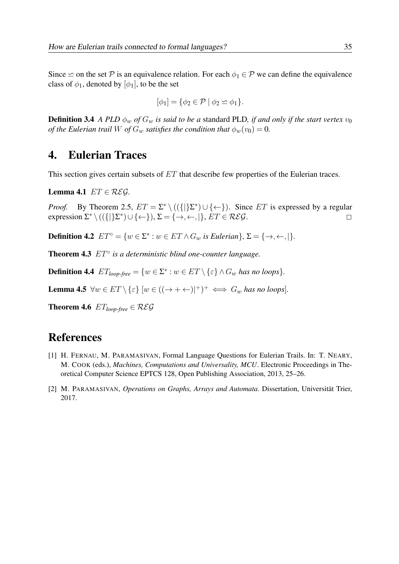Since  $\leq$  on the set P is an equivalence relation. For each  $\phi_1 \in \mathcal{P}$  we can define the equivalence class of  $\phi_1$ , denoted by  $[\phi_1]$ , to be the set

$$
[\phi_1] = \{ \phi_2 \in \mathcal{P} \mid \phi_2 \simeq \phi_1 \}.
$$

**Definition 3.4** *A PLD*  $\phi_w$  *of*  $G_w$  *is said to be a* standard PLD*, if and only if the start vertex*  $v_0$ *of the Eulerian trail* W *of*  $G_w$  *satisfies the condition that*  $\phi_w(v_0) = 0$ *.* 

#### 4. Eulerian Traces

This section gives certain subsets of ET that describe few properties of the Eulerian traces.

Lemma 4.1  $ET \in \mathcal{REG}$ .

*Proof.* By Theorem 2.5,  $ET = \sum^* \setminus ((\{|\}\Sigma^*) \cup \{\leftarrow\})$ . Since ET is expressed by a regular expression  $\Sigma^* \setminus ((\{|\}\Sigma^*) \cup \{\leftarrow\}), \Sigma = \{\rightarrow, \leftarrow, |\}, ET \in \mathcal{REG}.$ 

**Definition 4.2**  $ET^{\circ} = \{w \in \Sigma^* : w \in ET \wedge G_w \text{ is Eulerian}\}, \Sigma = \{\rightarrow, \leftarrow, \vert\}.$ 

Theorem 4.3 ET◦ *is a deterministic blind one-counter language.*

**Definition 4.4**  $ET_{loop-free} = \{w \in \Sigma^* : w \in ET \setminus \{\varepsilon\} \wedge G_w \text{ has no loops}\}.$ 

**Lemma 4.5**  $\forall w \in ET \setminus \{\varepsilon\} \ [w \in ((\to + \leftarrow)|^+)^\perp \iff G_w \text{ has no loops}].$ 

**Theorem 4.6**  $ET_{loop-free} \in \mathcal{REG}$ 

### References

- [1] H. FERNAU, M. PARAMASIVAN, Formal Language Questions for Eulerian Trails. In: T. NEARY, M. COOK (eds.), *Machines, Computations and Universality, MCU*. Electronic Proceedings in The[oretical Computer Science EPTCS 128, Open Publishing Association, 2013, 25–26.](#page-3-0)
- [2] M. PARAMASIVAN, *Operations on Graphs, Arrays and Automata*. Dissertation, Universität Trier, 2017.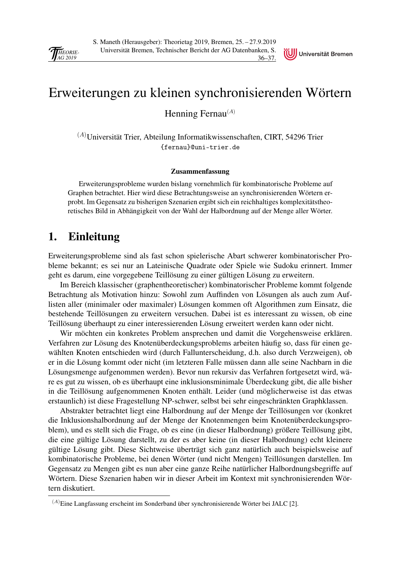<span id="page-39-0"></span>

## [Erweiterungen zu kleinen synchronisierenden Wörtern](#page-0-0)

Universität Bremen

Henning Fernau $^{(A)}$ 

 ${}^{(A)}\rm{Universität Trier},$  Abteilung Informatikwissenschaften, CIRT, 54296 Trier {fernau}@uni-trier.de

#### Zusammenfassung

Erweiterungsprobleme wurden bislang vornehmlich für kombinatorische Probleme auf Graphen betrachtet. Hier wird diese Betrachtungsweise an synchronisierenden Wörtern erprobt. Im Gegensatz zu bisherigen Szenarien ergibt sich ein reichhaltiges komplexitätstheoretisches Bild in Abhängigkeit von der Wahl der Halbordnung auf der Menge aller Wörter.

#### 1. Einleitung

Erweiterungsprobleme sind als fast schon spielerische Abart schwerer kombinatorischer Probleme bekannt; es sei nur an Lateinische Quadrate oder Spiele wie Sudoku erinnert. Immer geht es darum, eine vorgegebene Teillösung zu einer gültigen Lösung zu erweitern.

Im Bereich klassischer (graphentheoretischer) kombinatorischer Probleme kommt folgende Betrachtung als Motivation hinzu: Sowohl zum Auffinden von Lösungen als auch zum Auflisten aller (minimaler oder maximaler) Lösungen kommen oft Algorithmen zum Einsatz, die bestehende Teillösungen zu erweitern versuchen. Dabei ist es interessant zu wissen, ob eine Teillösung überhaupt zu einer interessierenden Lösung erweitert werden kann oder nicht.

Wir möchten ein konkretes Problem ansprechen und damit die Vorgehensweise erklären. Verfahren zur Lösung des Knotenüberdeckungsproblems arbeiten häufig so, dass für einen gewählten Knoten entschieden wird (durch Fallunterscheidung, d.h. also durch Verzweigen), ob er in die Lösung kommt oder nicht (im letzteren Falle müssen dann alle seine Nachbarn in die Lösungsmenge aufgenommen werden). Bevor nun rekursiv das Verfahren fortgesetzt wird, wäre es gut zu wissen, ob es überhaupt eine inklusionsminimale Überdeckung gibt, die alle bisher in die Teillösung aufgenommenen Knoten enthält. Leider (und möglicherweise ist das etwas erstaunlich) ist diese Fragestellung NP-schwer, selbst bei sehr eingeschränkten Graphklassen.

Abstrakter betrachtet liegt eine Halbordnung auf der Menge der Teillösungen vor (konkret die Inklusionshalbordnung auf der Menge der Knotenmengen beim Knotenüberdeckungsproblem), und es stellt sich die Frage, ob es eine (in dieser Halbordnung) größere Teillösung gibt, die eine gültige Lösung darstellt, zu der es aber keine (in dieser Halbordnung) echt kleinere gültige Lösung gibt. Diese Sichtweise überträgt sich ganz natürlich auch beispielsweise auf kombinatorische Probleme, bei denen Wörter (und nicht Mengen) Teillösungen darstellen. Im Gegensatz zu Mengen gibt es nun aber eine ganze Reihe natürlicher Halbordnungsbegriffe auf Wörtern. Diese Szenarien haben wir in dieser Arbeit im Kontext mit synchronisierenden Wörtern diskutiert.

<sup>(</sup>A)Eine Langfassung erscheint im Sonderband über synchronisierende Wörter bei JALC [2].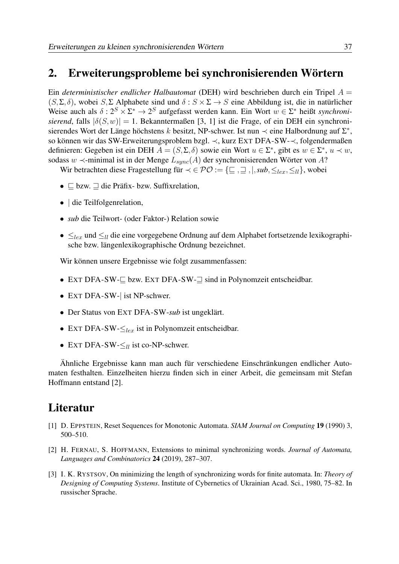#### [2. Erweiterungsprobleme bei synchronisierenden Wörtern](#page-1-0)

Ein *deterministischer endlicher Halbautomat* (DEH) wird beschrieben durch ein Tripel A = (S, Σ, δ), wobei S, Σ Alphabete sind und  $\delta$ :  $S \times \Sigma \rightarrow S$  eine Abbildung ist, die in natürlicher Weise auch als  $\delta: 2^S \times \Sigma^* \to 2^S$  aufgefasst werden kann. Ein Wort  $w \in \Sigma^*$  heißt *synchronisierend*, falls  $|\delta(S, w)| = 1$ . Bekanntermaßen [3, 1] ist die Frage, of ein DEH ein synchronisierendes Wort der Länge höchstens k besitzt, NP-schwer. Ist nun  $\prec$  eine Halbordnung auf  $\Sigma^*$ , so können wir das SW-Erweiterungsproblem bzgl. ≺, kurz EXT DFA-SW-≺, folgendermaßen definieren: Gegeben ist ein DEH  $A = (S, \Sigma, \delta)$  sowie ein Wort  $u \in \Sigma^*$ , gibt es  $w \in \Sigma^*$ ,  $u \prec w$ , sodass w  $\prec$ -minimal ist in der Menge  $L_{sync}(A)$  der synchronisierenden Wörter von A?

Wir betrachten diese Fragestellung für  $\prec \in \mathcal{PO} := \{\subseteq, \sqsupseteq, |, sub, \leq_{lex}, \leq_{ll}\}\$ , wobei

- $\subseteq$  bzw.  $\sqsupseteq$  die Präfix- bzw. Suffixrelation,
- die Teilfolgenrelation.
- *sub* die Teilwort- (oder Faktor-) Relation sowie
- $\leq_{lex}$  und  $\leq_{ll}$  die eine vorgegebene Ordnung auf dem Alphabet fortsetzende lexikographische bzw. längenlexikographische Ordnung bezeichnet.

Wir können unsere Ergebnisse wie folgt zusammenfassen:

- EXT DFA-SW- $\Box$  bzw. EXT DFA-SW- $\Box$  sind in Polynomzeit entscheidbar.
- EXT DFA-SW-| ist NP-schwer.
- Der Status von EXT DFA-SW-*sub* ist ungeklärt.
- EXT DFA-SW- $\leq_{lex}$  ist in Polynomzeit entscheidbar.
- EXT DFA-SW- $\leq_{ll}$  ist co-NP-schwer.

Ähnliche Ergebnisse kann man auch für verschiedene Einschränkungen endlicher Automaten festhalten. Einzelheiten hierzu finden sich in einer Arbeit, die gemeinsam mit Stefan Hoffmann entstand [2].

### Literatur

- [1] D. EPPSTEIN, Reset Sequences for Monotonic Automata. *SIAM Journal on Computing* 19 (1990) 3, 500–510.
- [2] H. FERNAU, S. HOFFMANN, Extensions to minimal synchronizing words. *Journal of Automata, Languages and Combinatorics* 24 (2019), 287–307.
- [3] I. K. RYSTSOV, On minimizing the length of synchronizing words for finite automata. In: *Theory of Designing of Computing Systems*. Institute of Cybernetics of Ukrainian Acad. Sci., 1980, 75–82. In russischer Sprache.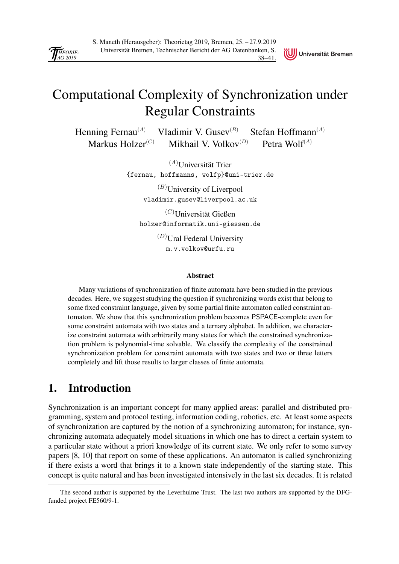<span id="page-41-0"></span>

## [Computational Complexity of Synchronization under](#page-0-0) Regular Constraints

Universität Bremen

Henning Fernau<sup>(A)</sup> Vladimir V. Gusev<sup>(B)</sup> Stefan Hoffmann<sup>(A)</sup> Markus Holzer<sup>(C)</sup> Mikhail V. Volkov<sup>(D)</sup> Petra Wolf<sup>(A)</sup>

> $(A)$ Universität Trier {fernau, hoffmanns, wolfp}@uni-trier.de

> > $(B)$ University of Liverpool vladimir.gusev@liverpool.ac.uk

 $(C)$ Universität Gießen holzer@informatik.uni-giessen.de

> $(D)$ Ural Federal University m.v.volkov@urfu.ru

#### Abstract

Many variations of synchronization of finite automata have been studied in the previous decades. Here, we suggest studying the question if synchronizing words exist that belong to some fixed constraint language, given by some partial finite automaton called constraint automaton. We show that this synchronization problem becomes PSPACE-complete even for some constraint automata with two states and a ternary alphabet. In addition, we characterize constraint automata with arbitrarily many states for which the constrained synchronization problem is polynomial-time solvable. We classify the complexity of the constrained synchronization problem for constraint automata with two states and two or three letters completely and lift those results to larger classes of finite automata.

### 1. Introduction

Synchronization is an important concept for many applied areas: parallel and distributed programming, system and protocol testing, information coding, robotics, etc. At least some aspects of synchronization are captured by the notion of a synchronizing automaton; for instance, synchronizing automata adequately model situations in which one has to direct a certain system to a particular state without a priori knowledge of its current state. We only refer to some survey papers [8, 10] that report on some of these applications. An automaton is called synchronizing if there exists a word that brings it to a known state independently of the starting state. This concept is quite natural and has been investigated intensively in the last six decades. It is related

The second author is supported by the Leverhulme Trust. The last two authors are supported by the DFGfunded project FE560/9-1.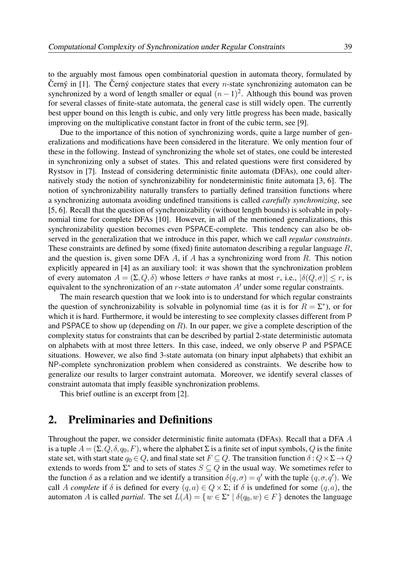to the arguably most famous open combinatorial question in automata theory, formulated by Černý in [1]. The Černý conjecture states that every *n*-state synchronizing automaton can be synchronized by a word of length smaller or equal  $(n-1)^2$ . Although this bound was proven for several classes of finite-state automata, the general case is still widely open. The currently best upper bound on this length is cubic, and only very little progress has been made, basically improving on the multiplicative constant factor in front of the cubic term, see [9].

Due to the importance of this notion of synchronizing words, quite a large number of generalizations and modifications have been considered in the literature. We only mention four of these in the following. Instead of synchronizing the whole set of states, one could be interested in synchronizing only a subset of states. This and related questions were first considered by Rystsov in [7]. Instead of considering deterministic finite automata (DFAs), one could alternatively study the notion of synchronizability for nondeterministic finite automata [3, 6]. The notion of synchronizability naturally transfers to partially defined transition functions where a synchronizing automata avoiding undefined transitions is called *carefully synchronizing*, see [5, 6]. Recall that the question of synchronizability (without length bounds) is solvable in poly[nomial time for complete DFAs \[10\]. However, in all of the mentioned generalizations, this](#page-1-0) synchronizability question becomes even PSPACE-complete. This tendency can also be observed in the generalization that we introduce in this paper, which we call *regular constraints*. These constraints are defined by some (fixed) finite automaton describing a regular language  $R$ , and the question is, given some DFA  $A$ , if  $A$  has a synchronizing word from  $R$ . This notion explicitly appeared in [4] as an auxiliary tool: it was shown that the synchronization problem of every automaton  $A = (\Sigma, Q, \delta)$  whose letters  $\sigma$  have ranks at most r, i.e.,  $|\delta(Q, \sigma)| \le r$ , is equivalent to the synchronization of an  $r$ -state automaton  $A'$  under some regular constraints.

The main research question that we look into is to understand for which regular constraints the question of synchronizability is solvable in polynomial time (as it is for  $R = \Sigma^*$ ), or for which it is hard. Furthermore, it would be interesting to see complexity classes different from P and PSPACE to show up (depending on  $R$ ). In our paper, we give a complete description of the complexity status for constraints that can be described by partial 2-state deterministic automata on alphabets with at most three letters. In this case, indeed, we only observe P and PSPACE situations. However, we also find 3-state automata (on binary input alphabets) that exhibit an NP-complete synchronization problem when considered as constraints. We describe how to generalize our results to larger constraint automata. Moreover, we identify several classes of constraint automata that imply feasible synchronization problems.

This brief outline is an excerpt from [2].

#### 2. Preliminaries and Definitions

Throughout the paper, we consider deterministic finite automata (DFAs). Recall that a DFA A is a tuple  $A = (\Sigma, Q, \delta, q_0, F)$ , where the alphabet  $\Sigma$  is a finite set of input symbols, Q is the finite state set, with start state  $q_0 \in Q$ , and final state set  $F \subseteq Q$ . The transition function  $\delta : Q \times \Sigma \to Q$ extends to words from  $\Sigma^*$  and to sets of states  $S \subseteq Q$  in the usual way. We sometimes refer to the function  $\delta$  as a relation and we identify a transition  $\delta(q,\sigma) = q'$  with the tuple  $(q,\sigma,q')$ . We call A *complete* if  $\delta$  is defined for every  $(q, a) \in Q \times \Sigma$ ; if  $\delta$  is undefined for some  $(q, a)$ , the automaton A is called *partial*. The set  $L(A) = \{w \in \Sigma^* \mid \delta(q_0, w) \in F\}$  denotes the language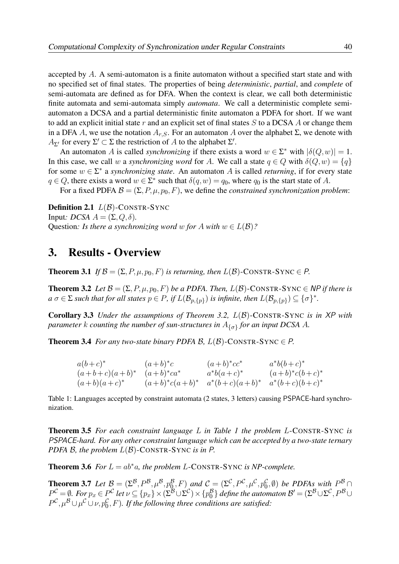accepted by A. A semi-automaton is a finite automaton without a specified start state and with no specified set of final states. The properties of being *deterministic*, *partial*, and *complete* of semi-automata are defined as for DFA. When the context is clear, we call both deterministic finite automata and semi-automata simply *automata*. We call a deterministic complete semi[automaton a DCSA and a partial deterministic finite automaton a PDFA for short. If we want](#page-2-0) to add an explicit initial state  $r$  and an explicit set of final states  $S$  to a DCSA  $A$  or change them in a DFA A, we use the notation  $A_{r,S}$ . For an automaton A over the alphabet  $\Sigma$ , we denote with  $A_{\Sigma'}$  for every  $\Sigma' \subset \Sigma$  the restriction of A to the alphabet  $\Sigma'$ .

An automaton A is called *synchronizing* if there exists a word  $w \in \Sigma^*$  with  $|\delta(Q, w)| = 1$ . In this case, we call w a *synchronizing word* for A. We call a state  $q \in Q$  with  $\delta(Q, w) = \{q\}$ for some  $w \in \Sigma^*$  a *synchronizing state*. An automaton A is called *returning*, if for every state  $q \in Q$ , there exists a word  $w \in \Sigma^*$  such that  $\delta(q, w) = q_0$ , where  $q_0$  is the start state of A.

For a fixed PDFA  $\mathcal{B} = (\Sigma, P, \mu, p_0, F)$ , we define the *constrained synchronization problem*:

**Definition 2.1**  $L(\mathcal{B})$ -CONSTR-SYNC Input*: DCSA*  $A = (\Sigma, Q, \delta)$ . Question: *Is there a synchronizing word* w for A with  $w \in L(\mathcal{B})$ ?

#### 3. Results - Overview

**Theorem 3.1** *If*  $\mathcal{B} = (\Sigma, P, \mu, p_0, F)$  *is returning, then*  $L(\mathcal{B})$ -CONSTR-SYNC  $\in P$ *.* 

**Theorem 3.2** *Let*  $\mathcal{B} = (\Sigma, P, \mu, p_0, F)$  *be a PDFA. Then,*  $L(\mathcal{B})$ -CONSTR-SYNC  $\in$  *NP if there is*  $a$   $\sigma$   $\in$   $\Sigma$  *such that for all states*  $p$   $\in$   $P$ *, if*  $L(\mathcal{B}_{p,\{p\}})$  *is infinite, then*  $L(\mathcal{B}_{p,\{p\}})$  $\subseteq$  $\{\sigma\}^*$ *.* 

Corollary 3.3 *Under the assumptions of Theorem 3.2,* L(B)-CONSTR-SYNC *is in* XP *with*  $p$ arameter  $k$  counting the number of sun-structures in  $A_{\{\sigma\}}$  for an input DCSA  $A$ .

**Theorem 3.4** *For any two-state binary PDFA B,*  $L(\mathcal{B})$ *-CONSTR-SYNC*  $\in$  *P.* 

| $a(b+c)^*$                     | $(a+b)^*c$ | $(a+b)^*cc^*$                                     | $a^*b(b+c)^*$     |
|--------------------------------|------------|---------------------------------------------------|-------------------|
| $(a+b+c)(a+b)^*$ $(a+b)^*ca^*$ |            | $a^*b(a+c)^*$                                     | $(a+b)^*c(b+c)^*$ |
| $(a+b)(a+c)^{*}$               |            | $(a+b)^*c(a+b)^* a^*(b+c)(a+b)^* a^*(b+c)(b+c)^*$ |                   |

Table 1: Languages accepted by constraint automata (2 states, 3 letters) causing PSPACE-hard synchronization.

Theorem 3.5 *For each constraint language* L *in Table 1 the problem* L-CONSTR-SYNC *is* PSPACE*-hard. For any other constraint language which can be accepted by a two-state ternary PDFA B, the problem*  $L(\mathcal{B})$ -CONSTR-SYNC *is in* P.

**Theorem 3.6** *For*  $L = ab^*a$ *, the problem*  $L$ -CONSTR-SYNC *is NP-complete.* 

**Theorem 3.7** Let  $\mathcal{B} = (\Sigma^{\mathcal{B}}, P^{\mathcal{B}}, \mu^{\mathcal{B}}, p_0^{\mathcal{B}}, F)$  and  $\mathcal{C} = (\Sigma^{\mathcal{C}}, P^{\mathcal{C}}, \mu^{\mathcal{C}}, p_0^{\mathcal{C}}, \emptyset)$  be PDFAs with  $P^{\mathcal{B}} \cap$  $P^{\mathcal{C}} = \emptyset$ . For  $p_x \in P^{\mathcal{C}}$  let  $\nu \subseteq \{p_x\} \times (\Sigma^{\mathcal{B}} \cup \Sigma^{\mathcal{C}}) \times \{p_0^{\mathcal{B}}\}$  define the automaton  $\mathcal{B}' = (\Sigma^{\mathcal{B}} \cup \Sigma^{\mathcal{C}}, P^{\mathcal{B}} \cup \Sigma^{\mathcal{C}})$  $P^{\mathcal{C}}, \mu^{\mathcal{B}} \cup \mu^{\mathcal{C}} \cup \nu, p_0^{\mathcal{C}}, F)$ *. If the following three conditions are satisfied:*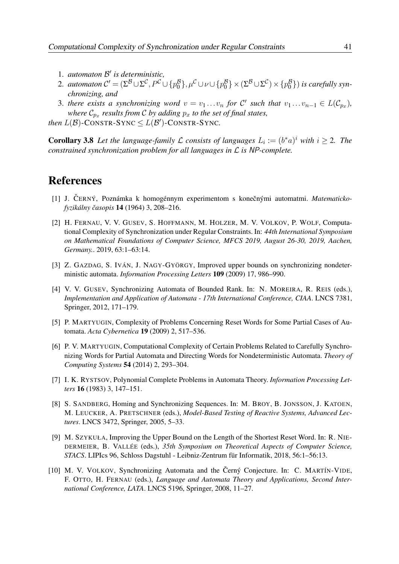- 1. *automaton* B' is deterministic,
- 2. *automaton*  $C' = (\Sigma^{\mathcal{B}} \cup \Sigma^{\mathcal{C}}, P^{\mathcal{C}} \cup \{p_0^{\mathcal{B}}\}, \mu^{\mathcal{C}} \cup \nu \cup \{p_0^{\mathcal{B}}\} \times (\Sigma^{\mathcal{B}} \cup \Sigma^{\mathcal{C}}) \times \{p_0^{\mathcal{B}}\})$  is carefully syn*chronizing, and*
- 3. there exists a synchronizing word  $v = v_1 \dots v_n$  for  $C'$  such that  $v_1 \dots v_{n-1} \in L(C_{p_x})$ , *where*  $C_{p_x}$  *results from* C *by adding*  $p_x$  *to the set of final states,*

*then*  $L(\mathcal{B})$ -CONSTR-SYNC  $\leq L(\mathcal{B}')$ -CONSTR-SYNC.

**Corollary 3.8** Let the language-family L consists of languages  $L_i := (b^*a)^i$  with  $i \geq 2$ . The *constrained synchronization problem for all languages in* L *is* NP*-complete.*

#### References

- [1] J. CERNÝ, Poznámka k homogénnym experimentom s konečnými automatmi. Matematicko*fyzikálny ˇcasopis* 14 (1964) 3, 208–216.
- [2] H. FERNAU, V. V. GUSEV, S. HOFFMANN, M. HOLZER, M. V. VOLKOV, P. WOLF, Computational Complexity of Synchronization under Regular Constraints. In: *44th International Symposium [on Mathematical Foundations of Computer Science, MFCS 2019, August 26-30, 2019, Aachen,](#page-3-0) Germany.*. 2019, 63:1–63:14.
- [3] Z. GAZDAG, S. IVÁN, J. NAGY-GYÖRGY, Improved upper bounds on synchronizing nondeterministic automata. *Information Processing Letters* 109 (2009) 17, 986–990.
- [4] V. V. GUSEV, Synchronizing Automata of Bounded Rank. In: N. MOREIRA, R. REIS (eds.), *Implementation and Application of Automata - 17th International Conference, CIAA*. LNCS 7381, Springer, 2012, 171–179.
- [5] P. MARTYUGIN, Complexity of Problems Concerning Reset Words for Some Partial Cases of Automata. *Acta Cybernetica* 19 (2009) 2, 517–536.
- [6] P. V. MARTYUGIN, Computational Complexity of Certain Problems Related to Carefully Synchronizing Words for Partial Automata and Directing Words for Nondeterministic Automata. *Theory of Computing Systems* 54 (2014) 2, 293–304.
- [7] I. K. RYSTSOV, Polynomial Complete Problems in Automata Theory. *Information Processing Letters* 16 (1983) 3, 147–151.
- [8] S. SANDBERG, Homing and Synchronizing Sequences. In: M. BROY, B. JONSSON, J. KATOEN, M. LEUCKER, A. PRETSCHNER (eds.), *Model-Based Testing of Reactive Systems, Advanced Lectures*. LNCS 3472, Springer, 2005, 5–33.
- [9] M. SZYKUŁA, Improving the Upper Bound on the Length of the Shortest Reset Word. In: R. NIE-DERMEIER, B. VALLÉE (eds.), *35th Symposium on Theoretical Aspects of Computer Science, STACS*. LIPIcs 96, Schloss Dagstuhl - Leibniz-Zentrum für Informatik, 2018, 56:1–56:13.
- [10] M. V. VOLKOV, Synchronizing Automata and the Černý Conjecture. In: C. MARTÍN-VIDE, F. OTTO, H. FERNAU (eds.), *Language and Automata Theory and Applications, Second International Conference, LATA*. LNCS 5196, Springer, 2008, 11–27.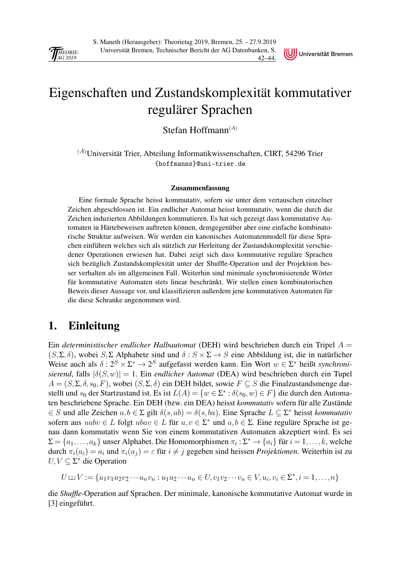<span id="page-45-0"></span>



## [Eigenschaften und Zustandskomplexität kommutativer](#page-0-0) regulärer Sprachen

Stefan Hoffmann $(A)$ 

 ${}^{(A)}$ Universität Trier, Abteilung Informatikwissenschaften, CIRT, 54296 Trier {hoffmanns}@uni-trier.de

#### Zusammenfassung

Eine formale Sprache heisst kommutativ, sofern sie unter dem vertauschen einzelner Zeichen abgeschlossen ist. Ein endlicher Automat heisst kommutativ, wenn die durch die Zeichen induzierten Abbildungen kommutieren. Es hat sich gezeigt dass kommutative Automaten in Härtebeweisen auftreten können, demgegenüber aber eine einfache kombinatorische Struktur aufweisen. Wir werden ein kanonisches Automatenmodell für diese Sprachen einführen welches sich als nützlich zur Herleitung der Zustandskomplexität verschiedener Operationen erwiesen hat. Dabei zeigt sich dass kommutative reguläre Sprachen sich bezüglich Zustandskomplexität unter der Shuffle-Operation und der Projektion besser verhalten als im allgemeinen Fall. Weiterhin sind minimale synchronisierende Wörter für kommutative Automaten stets linear beschränkt. Wir stellen einen kombinatorischen Beweis dieser Aussage vor, und klassifizieren außerdem jene kommutativen Automaten für die diese Schranke angenommen wird.

### 1. Einleitung

Ein *deterministischer endlicher Halbautomat* (DEH) wird beschrieben durch ein Tripel A =  $(S, \Sigma, \delta)$ , wobei  $S, \Sigma$  Alphabete sind und  $\delta : S \times \Sigma \rightarrow S$  eine Abbildung ist, die in natürlicher Weise auch als  $\delta: 2^S \times \Sigma^* \to 2^S$  aufgefasst werden kann. Ein Wort  $w \in \Sigma^*$  heißt *synchronisierend*, falls  $|\delta(S, w)| = 1$ . Ein *endlicher Automat* (DEA) wird beschrieben durch ein Tupel  $A = (S, \Sigma, \delta, s_0, F)$ , wobei  $(S, \Sigma, \delta)$  ein DEH bildet, sowie  $F \subseteq S$  die Finalzustandsmenge darstellt und  $s_0$  der Startzustand ist. Es ist  $L(A) = \{w \in \Sigma^* : \delta(s_0, w) \in F\}$  die durch den Automaten beschriebene Sprache. Ein DEH (bzw. ein DEA) heisst *kommutativ* sofern für alle Zustände ∈ S und alle Zeichen a, b ∈ Σ gilt δ(s, ab) = δ(s, ba). Eine Sprache L ⊆ Σ ∗ heisst *kommutativ* sofern aus  $uabv \in L$  folgt  $ubav \in L$  für  $u, v \in \Sigma^*$  und  $a, b \in \Sigma$ . Eine reguläre Sprache ist genau dann kommutativ wenn Sie von einem kommutativen Automaten akzeptiert wird. Es sei  $\Sigma = \{a_1, \ldots, a_k\}$  unser Alphabet. Die Homomorphismen  $\pi_i : \Sigma^* \to \{a_i\}$  für  $i = 1, \ldots, k$ , welche durch  $\pi_i(a_i) = a_i$  und  $\pi_i(a_i) = \varepsilon$  für  $i \neq j$  gegeben sind heissen *Projektionen*. Weiterhin ist zu  $U, V \subseteq Σ^*$  die Operation

$$
U \sqcup V := \{u_1v_1u_2v_2\cdots u_nv_n : u_1u_2\cdots u_n \in U, v_1v_2\cdots v_n \in V, u_i, v_i \in \Sigma^*, i = 1, \ldots, n\}
$$

die *Shuffle*-Operation auf Sprachen. Der minimale, kanonische kommutative Automat wurde in [3] eingeführt.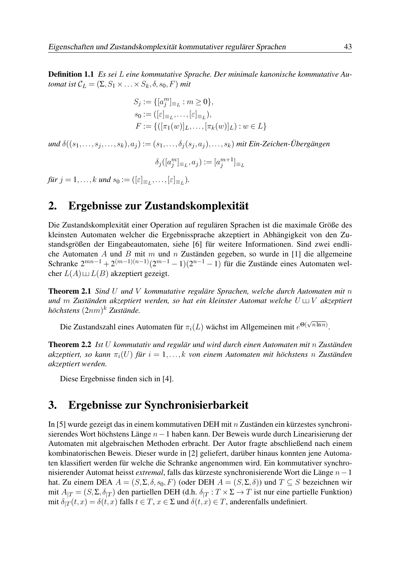Definition 1.1 *Es sei* L *eine kommutative Sprache. Der minimale kanonische kommutative Automat ist*  $\mathcal{C}_L = (\Sigma, S_1 \times \ldots \times S_k, \delta, s_0, F)$  *mit* 

$$
S_j := \{ [a_j^m]_{\equiv_L} : m \ge 0 \},
$$
  
\n
$$
s_0 := ([\varepsilon]_{\equiv_L}, \dots, [\varepsilon]_{\equiv_L}),
$$
  
\n
$$
F := \{ ([\pi_1(w)]_L, \dots, [\pi_k(w)]_L) : w \in L \}
$$

*und*  $\delta((s_1,\ldots,s_i,\ldots,s_k), a_i) := (s_1,\ldots,\delta_i(s_i,a_i),\ldots,s_k)$  *mit Ein-Zeichen-Übergängen* 

$$
\delta_j([a_j^m]_{\equiv_L}, a_j) := [a_j^{m+1}]_{\equiv_L}
$$

*für*  $j = 1, ..., k$  *und*  $s_0 := (\lbrack \varepsilon \rbrack_{\equiv_L}, ..., \lbrack \varepsilon \rbrack_{\equiv_L}).$ 

#### 2. Ergebnisse zur Zustandskomplexität

Die Zustandskomplexität einer Operation auf regulären Sprachen ist die maximale Größe des [kleinsten Automaten welcher die Ergebnissprache akzeptiert in Abhängigkeit von den Zu](#page-1-0)standsgrößen der Eingabeautomaten, siehe [6] für weitere Informationen. Sind zwei endliche Automaten  $A$  und  $B$  mit  $m$  und  $n$  Zuständen gegeben, so wurde in [1] die allgemeine Schranke  $2^{mn-1} + 2^{(m-1)(n-1)}(2^{m-1} - 1)(2^{n-1} - 1)$  für die Zustände eines Automaten welcher  $L(A) \sqcup L(B)$  akzeptiert gezeigt.

Theorem 2.1 *Sind* U *und* V *kommutative reguläre Sprachen, welche durch Automaten mit* n *und* m Zuständen akzeptiert werden, so hat ein kleinster Automat welche  $U \sqcup V$  akzeptiert *höchstens* (2nm) <sup>k</sup> *Zustände.*

Die Zustandszahl eines Automaten für  $\pi_i(L)$  wächst im Allgemeinen mit  $e^{\Theta(\sqrt{n \ln n})}$ .

Theorem 2.2 *Ist* U *kommutativ und regulär und wird durch einen Automaten mit* n *Zuständen*  $a$ kzeptiert, so kann  $\pi_i(U)$  *für*  $i = 1, ..., k$  *von einem Automaten mit höchstens* n Zuständen *akzeptiert werden.*

Diese Ergebnisse finden sich in [4].

#### 3. Ergebnisse zur Synchronisierbarkeit

In [5] wurde gezeigt das in einem kommutativen DEH mit n Zuständen ein kürzestes synchronisierendes Wort höchstens Länge n−1 haben kann. Der Beweis wurde durch Linearisierung der Automaten mit algebraischen Methoden erbracht. Der Autor fragte abschließend nach einem kombinatorischen Beweis. Dieser wurde in [2] geliefert, darüber hinaus konnten jene Automaten klassifiert werden für welche die Schranke angenommen wird. Ein kommutativer synchronisierender Automat heisst *extremal*, falls das kürzeste synchronisierende Wort die Länge n−1 hat. Zu einem DEA  $A = (S, \Sigma, \delta, s_0, F)$  (oder DEH  $A = (S, \Sigma, \delta)$ ) und  $T \subseteq S$  bezeichnen wir mit  $A_{|T} = (S, \Sigma, \delta_{|T})$  den partiellen DEH (d.h.  $\delta_{|T}: T \times \Sigma \to T$  ist nur eine partielle Funktion) mit  $\delta_{|T}(t,x) = \delta(t,x)$  falls  $t \in T$ ,  $x \in \Sigma$  und  $\delta(t,x) \in T$ , anderenfalls undefiniert.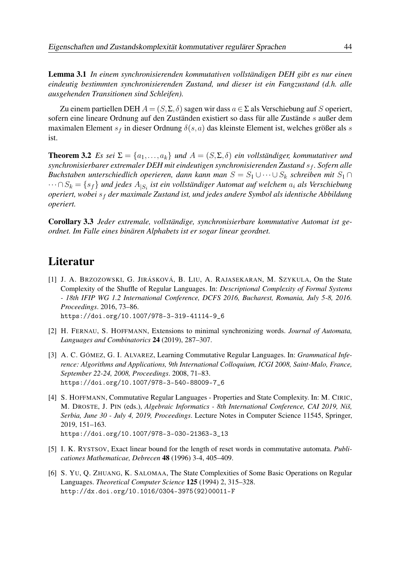Lemma 3.1 *In einem synchronisierenden kommutativen vollständigen DEH gibt es nur einen [eindeutig bestimmten synchronisierenden Zustand, und dieser ist ein Fangzustand \(d.h. alle](#page-2-0) ausgehenden Transitionen sind Schleifen).*

Zu einem partiellen DEH  $A = (S, \Sigma, \delta)$  sagen wir dass  $a \in \Sigma$  als Verschiebung auf S operiert, sofern eine lineare Ordnung auf den Zuständen existiert so dass für alle Zustände s außer dem maximalen Element  $s_f$  in dieser Ordnung  $\delta(s, a)$  das kleinste Element ist, welches größer als s ist.

**Theorem 3.2** *Es sei*  $\Sigma = \{a_1, \ldots, a_k\}$  *und*  $A = (S, \Sigma, \delta)$  *ein vollständiger, kommutativer und synchronisierbarer extremaler DEH mit eindeutigen synchronisierenden Zustand* s<sub>f</sub>. Sofern alle *Buchstaben unterschiedlich operieren, dann kann man*  $S = S_1 \cup \cdots \cup S_k$  *schreiben mit*  $S_1 \cap$ ··· ∩S<sup>k</sup> = {sf} *und jedes* A|S<sup>i</sup> *ist ein vollständiger Automat auf welchem* a<sup>i</sup> *als Verschiebung operiert, wobei* s<sup>f</sup> *der maximale Zustand ist, und jedes andere Symbol als identische Abbildung operiert.*

Corollary 3.3 *Jeder extremale, vollständige, synchronisierbare kommutative Automat ist geordnet. Im Falle eines binären Alphabets ist er sogar linear geordnet.*

### Literatur

- [1] J. A. BRZOZOWSKI, G. JIRÁSKOVÁ, B. LIU, A. RAJASEKARAN, M. SZYKULA, On the State Complexity of the Shuffle of Regular Languages. In: *Descriptional Complexity of Formal Systems - 18th IFIP WG 1.2 International Conference, DCFS 2016, Bucharest, Romania, July 5-8, 2016. Proceedings*. 2016, 73–86. https://doi.org/10.1007/978-3-319-41114-9\_6
- [2] H. FERNAU, S. HOFFMANN, Extensions to minimal synchronizing words. *Journal of Automata, Languages and Combinatorics* 24 (2019), 287–307.
- [3] A. C. GÓMEZ, G. I. ALVAREZ, Learning Commutative Regular Languages. In: *Grammatical Inference: Algorithms and Applications, 9th International Colloquium, ICGI 2008, Saint-Malo, France, September 22-24, 2008, Proceedings*. 2008, 71–83. https://doi.org/10.1007/978-3-540-88009-7\_6
- [4] S. HOFFMANN, Commutative Regular Languages Properties and State Complexity. In: M. CIRIC, M. DROSTE, J. PIN (eds.), *Algebraic Informatics - 8th International Conference, CAI 2019, Niš, Serbia, June 30 - July 4, 2019, Proceedings*. Lecture Notes in Computer Science 11545, Springer, 2019, 151–163. https://doi.org/10.1007/978-3-030-21363-3\_13
- [5] I. K. RYSTSOV, Exact linear bound for the length of reset words in commutative automata. *Publicationes Mathematicae, Debrecen* 48 (1996) 3-4, 405–409.
- [6] S. YU, Q. ZHUANG, K. SALOMAA, The State Complexities of Some Basic Operations on Regular Languages. *Theoretical Computer Science* 125 (1994) 2, 315–328. http://dx.doi.org/10.1016/0304-3975(92)00011-F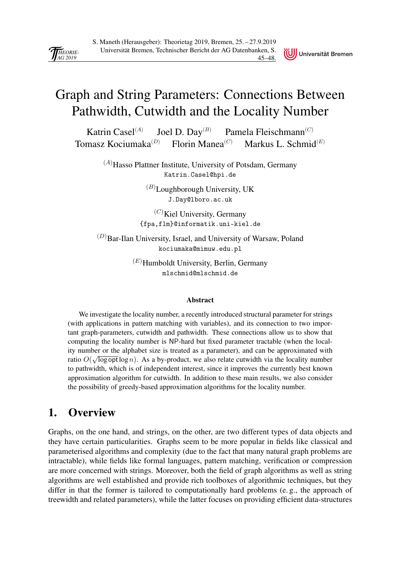Universität Bremen

## <span id="page-48-0"></span>[Graph and String Parameters: Connections Between](#page-0-0) Pathwidth, Cutwidth and the Locality Number

Katrin Casel $^{(A)}$ Joel D. Day<sup>(B)</sup> Pamela Fleischmann<sup>(C)</sup> Tomasz Kociumaka<sup>(D)</sup> Florin Manea<sup>(C)</sup> Markus L. Schmid<sup>(E)</sup>

> $(A)$ Hasso Plattner Institute, University of Potsdam, Germany Katrin.Casel@hpi.de

> > $(B)$ Loughborough University, UK J.Day@lboro.ac.uk

 $(C)$ Kiel University, Germany {fpa,flm}@informatik.uni-kiel.de

 $(D)$ Bar-Ilan University, Israel, and University of Warsaw, Poland kociumaka@mimuw.edu.pl

> $^{(E)}$ Humboldt University, Berlin, Germany mlschmid@mlschmid.de

#### Abstract

We investigate the locality number, a recently introduced structural parameter for strings (with applications in pattern matching with variables), and its connection to two important graph-parameters, cutwidth and pathwidth. These connections allow us to show that computing the locality number is NP-hard but fixed parameter tractable (when the locality number or the alphabet size is treated as a parameter), and can be approximated with ratio  $O(\sqrt{\log \pi \log n})$ . As a by-product, we also relate cutwidth via the locality number to pathwidth, which is of independent interest, since it improves the currently best known approximation algorithm for cutwidth. In addition to these main results, we also consider the possibility of greedy-based approximation algorithms for the locality number.

### 1. Overview

Graphs, on the one hand, and strings, on the other, are two different types of data objects and they have certain particularities. Graphs seem to be more popular in fields like classical and parameterised algorithms and complexity (due to the fact that many natural graph problems are intractable), while fields like formal languages, pattern matching, verification or compression are more concerned with strings. Moreover, both the field of graph algorithms as well as string algorithms are well established and provide rich toolboxes of algorithmic techniques, but they differ in that the former is tailored to computationally hard problems (e. g., the approach of treewidth and related parameters), while the latter focuses on providing efficient data-structures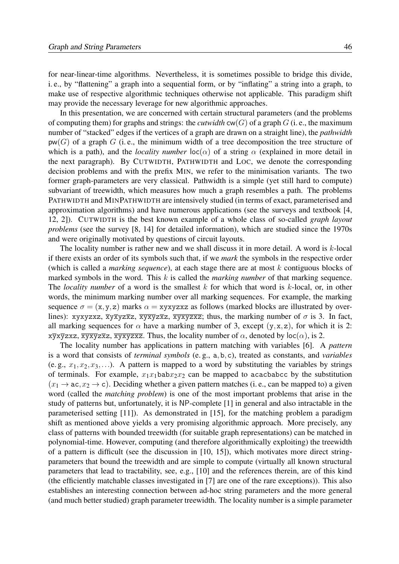for near-linear-time algorithms. Nevertheless, it is sometimes possible to bridge this divide, i. e., by "flattening" a graph into a sequential form, or by "inflating" a string into a graph, to make use of respective algorithmic techniques otherwise not applicable. This paradigm shift may provide the necessary leverage for new algorithmic approaches.

In this presentation, we are concerned with certain structural parameters (and the problems of computing them) for graphs and strings: the *cutwidth*  $cw(G)$  of a graph G (i. e., the maximum number of "stacked" edges if the vertices of a graph are drawn on a straight line), the *pathwidth*  $p(w(G))$  of a graph G (i.e., the minimum width of a tree decomposition the tree structure of which is a path), and the *locality number*  $\text{loc}(\alpha)$  of a string  $\alpha$  (explained in more detail in the next paragraph). By CUTWIDTH, PATHWIDTH and LOC, we denote the corresponding decision problems and with the prefix MIN, we refer to the minimisation variants. The two former graph-parameters are very classical. Pathwidth is a simple (yet still hard to compute) subvariant of treewidth, which measures how much a graph resembles a path. The problems PATHWIDTH and MINPATHWIDTH are intensively studied (in terms of exact, parameterised and approximation algorithms) and have numerous applications (see the surveys and textbook [4, 12, 2]). CUTWIDTH is the best known example of a whole class of so-called *graph layout problems* (see the survey [8, 14] for detailed information), which are studied since the 1970s and were originally motivated by questions of circuit layouts.

The locality number is rather new and we shall discuss it in more detail. A word is k-local if there exists an order of its symbols such that, if we *mark* the symbols in the respective order (which is called a *marking sequence*), at each stage there are at most k contiguous blocks of marked symbols in the word. This k is called the *marking number* of that marking sequence. The *locality number* of a word is the smallest k for which that word is k-local, or, in other words, the minimum marking number over all marking sequences. For example, the marking sequence  $\sigma = (x, y, z)$  marks  $\alpha = xyxyzxz$  as follows (marked blocks are illustrated by overlines): xyxyzxz,  $\overline{x}y\overline{x}yz\overline{x}z$ ,  $\overline{x}y\overline{x}yz\overline{x}z$ ,  $\overline{x}y\overline{x}yz\overline{x}z$ ; thus, the marking number of  $\sigma$  is 3. In fact, all marking sequences for  $\alpha$  have a marking number of 3, except  $(y, x, z)$ , for which it is 2:  $x\overline{y}x\overline{y}zxz$ ,  $\overline{x}y\overline{x}yz\overline{x}z$ ,  $\overline{x}y\overline{x}y\overline{z}z\overline{z}$ . Thus, the locality number of  $\alpha$ , denoted by  $\text{loc}(\alpha)$ , is 2.

The locality number has applications in pattern matching with variables [6]. A *pattern* is a word that consists of *terminal symbols* (e. g., a,b,c), treated as constants, and *variables* (e. g.,  $x_1, x_2, x_3,...$ ). A pattern is mapped to a word by substituting the variables by strings of terminals. For example,  $x_1x_1$ bab $x_2x_2$  can be mapped to acacbabcc by the substitution  $(x_1 \rightarrow ac, x_2 \rightarrow c)$ . Deciding whether a given pattern matches (i.e., can be mapped to) a given word (called the *matching problem*) is one of the most important problems that arise in the study of patterns but, unfortunately, it is NP-complete [1] in general and also intractable in the parameterised setting [11]). As demonstrated in [15], for the matching problem a paradigm shift as mentioned above yields a very promising algorithmic approach. More precisely, any class of patterns with bounded treewidth (for suitable graph representations) can be matched in polynomial-time. However, computing (and therefore algorithmically exploiting) the treewidth of a pattern is difficult (see the discussion in [10, 15]), which motivates more direct stringparameters that bound the treewidth and are simple to compute (virtually all known structural parameters that lead to tractability, see, e.g., [10] and the references therein, are of this kind [\(the efficiently matchable classes investigated in \[7\] are one of the rare exceptions\)\). This also](#page-1-0) establishes an interesting connection between ad-hoc string parameters and the more general (and much better studied) graph parameter treewidth. The locality number is a simple parameter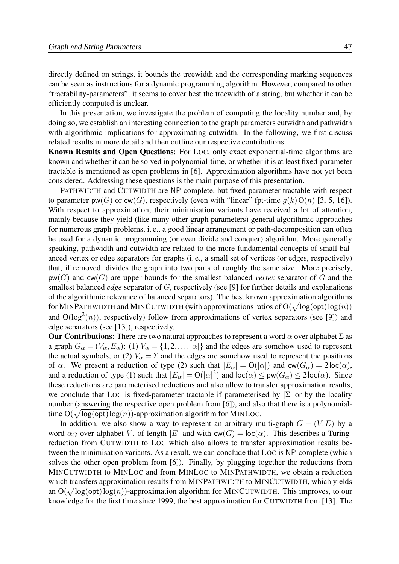directly defined on strings, it bounds the treewidth and the corresponding marking sequences can be seen as instructions for a dynamic programming algorithm. However, compared to other "tractability-parameters", it seems to cover best the treewidth of a string, but whether it can be efficiently computed is unclear.

In this presentation, we investigate the problem of computing the locality number and, by doing so, we establish an interesting connection to the graph parameters cutwidth and pathwidth with algorithmic implications for approximating cutwidth. In the following, we first discuss related results in more detail and then outline our respective contributions.

Known Results and Open Questions: For LOC, only exact exponential-time algorithms are known and whether it can be solved in polynomial-time, or whether it is at least fixed-parameter tractable is mentioned as open problems in [6]. Approximation algorithms have not yet been considered. Addressing these questions is the main purpose of this presentation.

PATHWIDTH and CUTWIDTH are NP-complete, but fixed-parameter tractable with respect to parameter pw(G) or  $cw(G)$ , respectively (even with "linear" fpt-time  $g(k)O(n)$  [3, 5, 16]). With respect to approximation, their minimisation variants have received a lot of attention, [mainly because they yield \(like many other graph parameters\) general algorithmic approaches](#page-2-0) for numerous graph problems, i. e., a good linear arrangement or path-decomposition can often be used for a dynamic programming (or even divide and conquer) algorithm. More generally speaking, pathwidth and cutwidth are related to the more fundamental concepts of small balanced vertex or edge separators for graphs (i. e., a small set of vertices (or edges, respectively) that, if removed, divides the graph into two parts of roughly the same size. More precisely, pw(G) and cw(G) are upper bounds for the smallest balanced *vertex* separator of G and the smallest balanced *edge* separator of G, respectively (see [9] for further details and explanations of the algorithmic relevance of balanced separators). The best known approximation algorithms for MINPATHWIDTH and MINCUTWIDTH (with approximations ratios of  $O(\sqrt{\log(\mathsf{opt})}\log(n))$ and  $O(log<sup>2</sup>(n))$ , respectively) follow from approximations of vertex separators (see [9]) and edge separators (see [13]), respectively.

**Our Contributions:** There are two natural approaches to represent a word  $\alpha$  over alphabet Σ as a graph  $G_{\alpha} = (V_{\alpha}, E_{\alpha})$ : (1)  $V_{\alpha} = \{1, 2, ..., |\alpha|\}$  and the edges are somehow used to represent the actual symbols, or (2)  $V_\alpha = \Sigma$  and the edges are somehow used to represent the positions of  $\alpha$ . We present a reduction of type (2) such that  $|E_{\alpha}| = O(|\alpha|)$  and  $cw(G_{\alpha}) = 2\text{loc}(\alpha)$ , and a reduction of type (1) such that  $|E_{\alpha}| = O(|\alpha|^2)$  and  $\text{loc}(\alpha) \leq \text{pw}(G_{\alpha}) \leq 2\text{loc}(\alpha)$ . Since these reductions are parameterised reductions and also allow to transfer approximation results, we conclude that LOC is fixed-parameter tractable if parameterised by  $|\Sigma|$  or by the locality number (answering the respective open problem from [6]), and also that there is a polynomialtime  $O(\sqrt{\log(\text{opt})}\log(n))$ -approximation algorithm for MINLOC.

In addition, we also show a way to represent an arbitrary multi-graph  $G = (V, E)$  by a word  $\alpha_G$  over alphabet V, of length |E| and with cw(G) = loc( $\alpha$ ). This describes a Turingreduction from CUTWIDTH to LOC which also allows to transfer approximation results between the minimisation variants. As a result, we can conclude that LOC is NP-complete (which solves the other open problem from [6]). Finally, by plugging together the reductions from MINCUTWIDTH to MINLOC and from MINLOC to MINPATHWIDTH, we obtain a reduction which transfers approximation results from MINPATHWIDTH to MINCUTWIDTH, which yields an  $O(\sqrt{\log(\text{opt})}\log(n))$ -approximation algorithm for MINCUTWIDTH. This improves, to our knowledge for the first time since 1999, the best approximation for CUTWIDTH from [13]. The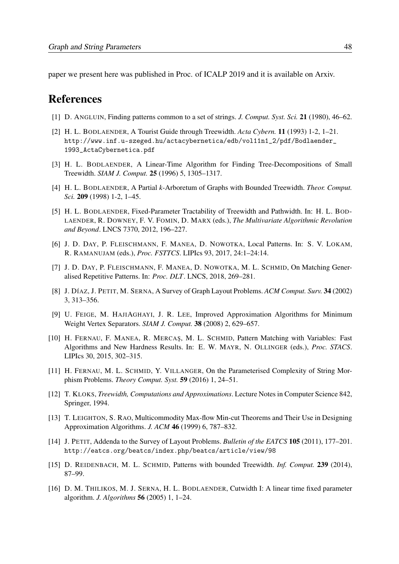[paper we present here was published in Proc. of ICALP 2019 and it is available on Arxiv.](#page-3-0)

### References

- [1] D. ANGLUIN, Finding patterns common to a set of strings. *J. Comput. Syst. Sci.* 21 (1980), 46–62.
- [2] H. L. BODLAENDER, A Tourist Guide through Treewidth. *Acta Cybern.* 11 (1993) 1-2, 1–21. http://www.inf.u-szeged.hu/actacybernetica/edb/vol11n1\_2/pdf/Bodlaender\_ 1993\_ActaCybernetica.pdf
- [3] H. L. BODLAENDER, A Linear-Time Algorithm for Finding Tree-Decompositions of Small Treewidth. *SIAM J. Comput.* 25 (1996) 5, 1305–1317.
- [4] H. L. BODLAENDER, A Partial *k*-Arboretum of Graphs with Bounded Treewidth. *Theor. Comput. Sci.* 209 (1998) 1-2, 1–45.
- [5] H. L. BODLAENDER, Fixed-Parameter Tractability of Treewidth and Pathwidth. In: H. L. BOD-LAENDER, R. DOWNEY, F. V. FOMIN, D. MARX (eds.), *The Multivariate Algorithmic Revolution and Beyond*. LNCS 7370, 2012, 196–227.
- [6] J. D. DAY, P. FLEISCHMANN, F. MANEA, D. NOWOTKA, Local Patterns. In: S. V. LOKAM, R. RAMANUJAM (eds.), *Proc. FSTTCS*. LIPIcs 93, 2017, 24:1–24:14.
- [7] J. D. DAY, P. FLEISCHMANN, F. MANEA, D. NOWOTKA, M. L. SCHMID, On Matching Generalised Repetitive Patterns. In: *Proc. DLT*. LNCS, 2018, 269–281.
- [8] J. DÍAZ, J. PETIT, M. SERNA, A Survey of Graph Layout Problems. *ACM Comput. Surv.* 34 (2002) 3, 313–356.
- [9] U. FEIGE, M. HAJIAGHAYI, J. R. LEE, Improved Approximation Algorithms for Minimum Weight Vertex Separators. *SIAM J. Comput.* 38 (2008) 2, 629–657.
- [10] H. FERNAU, F. MANEA, R. MERCAS, M. L. SCHMID, Pattern Matching with Variables: Fast Algorithms and New Hardness Results. In: E. W. MAYR, N. OLLINGER (eds.), *Proc. STACS*. LIPIcs 30, 2015, 302–315.
- [11] H. FERNAU, M. L. SCHMID, Y. VILLANGER, On the Parameterised Complexity of String Morphism Problems. *Theory Comput. Syst.* 59 (2016) 1, 24–51.
- [12] T. KLOKS, *Treewidth, Computations and Approximations*. Lecture Notes in Computer Science 842, Springer, 1994.
- [13] T. LEIGHTON, S. RAO, Multicommodity Max-flow Min-cut Theorems and Their Use in Designing Approximation Algorithms. *J. ACM* 46 (1999) 6, 787–832.
- [14] J. PETIT, Addenda to the Survey of Layout Problems. *Bulletin of the EATCS* 105 (2011), 177–201. http://eatcs.org/beatcs/index.php/beatcs/article/view/98
- [15] D. REIDENBACH, M. L. SCHMID, Patterns with bounded Treewidth. *Inf. Comput.* 239 (2014), 87–99.
- [16] D. M. THILIKOS, M. J. SERNA, H. L. BODLAENDER, Cutwidth I: A linear time fixed parameter algorithm. *J. Algorithms* 56 (2005) 1, 1–24.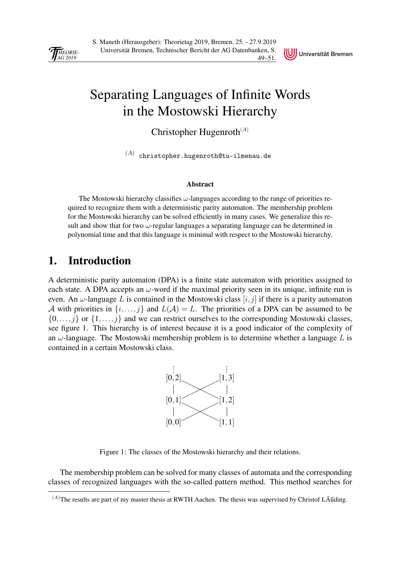<span id="page-52-0"></span>

Universität Bremen

## [Separating Languages of Infinite Words](#page-0-0) in the Mostowski Hierarchy

Christopher Hugenroth $^{(A)}$ 

 $\,^{(A)}\,$  christopher.hugenroth@tu-ilmenau.de

#### Abstract

The Mostowski hierarchy classifies  $\omega$ -languages according to the range of priorities required to recognize them with a deterministic parity automaton. The membership problem for the Mostowski hierarchy can be solved efficiently in many cases. We generalize this result and show that for two  $\omega$ -regular languages a separating language can be determined in polynomial time and that this language is minimal with respect to the Mostowski hierarchy.

### 1. Introduction

A deterministic parity automaton (DPA) is a finite state automaton with priorities assigned to each state. A DPA accepts an  $\omega$ -word if the maximal priority seen in its unique, infinite run is even. An  $\omega$ -language L is contained in the Mostowski class  $[i, j]$  if there is a parity automaton A with priorities in  $\{i,\ldots,j\}$  and  $L(\mathcal{A}) = L$ . The priorities of a DPA can be assumed to be  $\{0,\ldots,j\}$  or  $\{1,\ldots,j\}$  and we can restrict ourselves to the corresponding Mostowski classes, see figure 1. This hierarchy is of interest because it is a good indicator of the complexity of an  $\omega$ -language. The Mostowski membership problem is to determine whether a language L is contained in a certain Mostowski class.



Figure 1: The classes of the Mostowski hierarchy and their relations.

The membership problem can be solved for many classes of automata and the corresponding classes of recognized languages with the so-called pattern method. This method searches for

 $(A)$ The results are part of my master thesis at RWTH Aachen. The thesis was supervised by Christof LÃűding.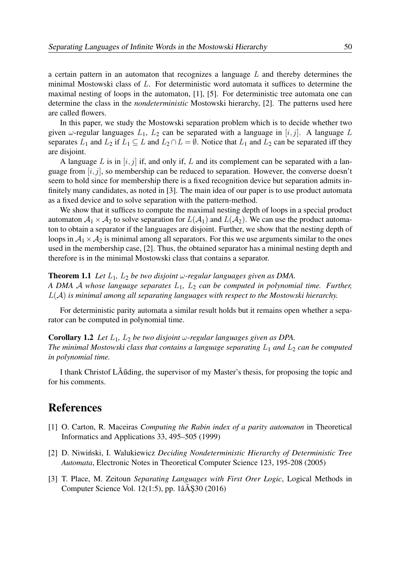a certain pattern in an automaton that recognizes a language L and thereby determines the minimal Mostowski class of L. For deterministic word automata it suffices to determine the maximal nesting of loops in the automaton, [1], [5]. For deterministic tree automata one can determine the class in the *nondeterministic* Mostowski hierarchy, [2]. The patterns used here are called flowers.

In this paper, we study the Mostowski separation problem which is to decide whether two given  $\omega$ -regular languages  $L_1$ ,  $L_2$  can be separated with a language in  $[i, j]$ . A language L separates  $L_1$  and  $L_2$  if  $L_1 \subseteq L$  and  $L_2 \cap L = \emptyset$ . Notice that  $L_1$  and  $L_2$  can be separated iff they are disjoint.

A language L is in  $[i, j]$  if, and only if, L and its complement can be separated with a language from  $[i, j]$ , so membership can be reduced to separation. However, the converse doesn't seem to hold since for membership there is a fixed recognition device but separation admits in[finitely many candidates, as noted in \[3\]. The main idea of our paper is to use product automata](#page-1-0) as a fixed device and to solve separation with the pattern-method.

We show that it suffices to compute the maximal nesting depth of loops in a special product automaton  $A_1 \times A_2$  to solve separation for  $L(A_1)$  and  $L(A_2)$ . We can use the product automaton to obtain a separator if the languages are disjoint. Further, we show that the nesting depth of loops in  $A_1 \times A_2$  is minimal among all separators. For this we use arguments similar to the ones used in the membership case, [2]. Thus, the obtained separator has a minimal nesting depth and therefore is in the minimal Mostowski class that contains a separator.

#### **Theorem 1.1** *Let*  $L_1$ ,  $L_2$  *be two disjoint*  $\omega$ -regular languages given as DMA.

*A DMA* A *whose language separates* L1*,* L<sup>2</sup> *can be computed in polynomial time. Further,* L(A) *is minimal among all separating languages with respect to the Mostowski hierarchy.*

For deterministic parity automata a similar result holds but it remains open whether a separator can be computed in polynomial time.

Corollary 1.2 *Let*  $L_1$ ,  $L_2$  *be two disjoint*  $\omega$ -regular languages given as DPA. *The minimal Mostowski class that contains a language separating*  $L_1$  *and*  $L_2$  *can be computed in polynomial time.*

I thank Christof LÃ˝uding, the supervisor of my Master's thesis, for proposing the topic and for his comments.

### References

- [1] O. Carton, R. Maceiras *Computing the Rabin index of a parity automaton* in Theoretical Informatics and Applications 33, 495–505 (1999)
- [2] D. Niwiński, I. Walukiewicz *Deciding Nondeterministic Hierarchy of Deterministic Tree Automata*, Electronic Notes in Theoretical Computer Science 123, 195-208 (2005)
- [3] T. Place, M. Zeitoun *Separating Languages with First Orer Logic*, Logical Methods in Computer Science Vol.  $12(1:5)$ , pp.  $1\hat{a}$ AS30 (2016)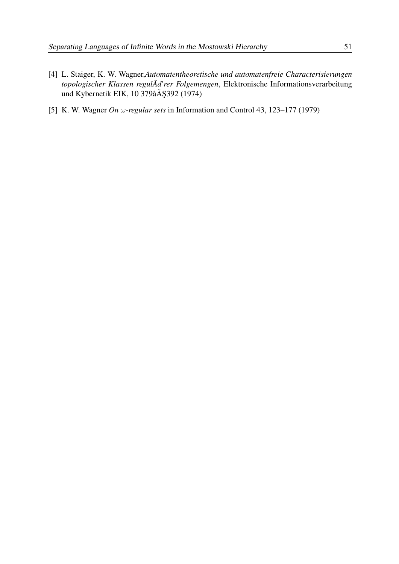- [4] L. Staiger, K. W. Wagner,*Automatentheoretische und automatenfreie Characterisierungen topologischer Klassen regulÃd'rer Folgemengen*, Elektronische Informationsverarbeitung und Kybernetik EIK, 10 379â $\check{A}$ Ş392 (1974)
- [5] K. W. Wagner *On* ω*-regular sets* in Information and Control 43, 123–177 (1979)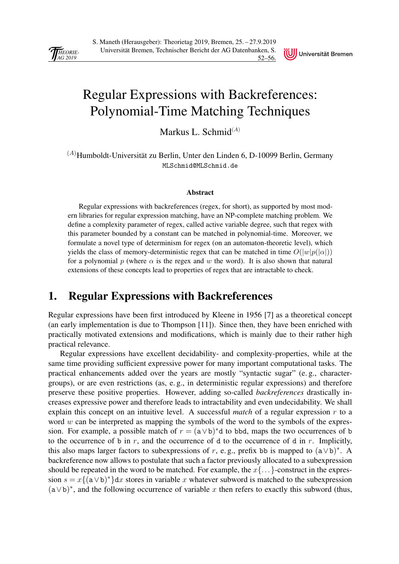<span id="page-55-0"></span>



## [Regular Expressions with Backreferences:](#page-0-0) Polynomial-Time Matching Techniques

Markus L. Schmid $^{(A)}$ 

 $(A)$ Humboldt-Universität zu Berlin, Unter den Linden 6, D-10099 Berlin, Germany MLSchmid@MLSchmid.de

#### Abstract

Regular expressions with backreferences (regex, for short), as supported by most modern libraries for regular expression matching, have an NP-complete matching problem. We define a complexity parameter of regex, called active variable degree, such that regex with this parameter bounded by a constant can be matched in polynomial-time. Moreover, we formulate a novel type of determinism for regex (on an automaton-theoretic level), which yields the class of memory-deterministic regex that can be matched in time  $O(|w|p(|\alpha|))$ for a polynomial p (where  $\alpha$  is the regex and w the word). It is also shown that natural extensions of these concepts lead to properties of regex that are intractable to check.

### 1. Regular Expressions with Backreferences

Regular expressions have been first introduced by Kleene in 1956 [7] as a theoretical concept (an early implementation is due to Thompson [11]). Since then, they have been enriched with practically motivated extensions and modifications, which is mainly due to their rather high practical relevance.

Regular expressions have excellent decidability- and complexity-properties, while at the same time providing sufficient expressive power for many important computational tasks. The practical enhancements added over the years are mostly "syntactic sugar" (e. g., charactergroups), or are even restrictions (as, e. g., in deterministic regular expressions) and therefore preserve these positive properties. However, adding so-called *backreferences* drastically increases expressive power and therefore leads to intractability and even undecidability. We shall explain this concept on an intuitive level. A successful *match* of a regular expression r to a word  $w$  can be interpreted as mapping the symbols of the word to the symbols of the expression. For example, a possible match of  $r = (a \lor b)^*d$  to bbd, maps the two occurrences of b to the occurrence of b in r, and the occurrence of d to the occurrence of d in r. Implicitly, this also maps larger factors to subexpressions of r, e.g., prefix bb is mapped to  $(a \lor b)^*$ . A backreference now allows to postulate that such a factor previously allocated to a subexpression should be repeated in the word to be matched. For example, the  $x\{... \}$ -construct in the expression  $s = x\{(\text{a} \vee \text{b})^*\}dx$  stores in variable x whatever subword is matched to the subexpression  $(a \vee b)^*$ , and the following occurrence of variable x then refers to exactly this subword (thus,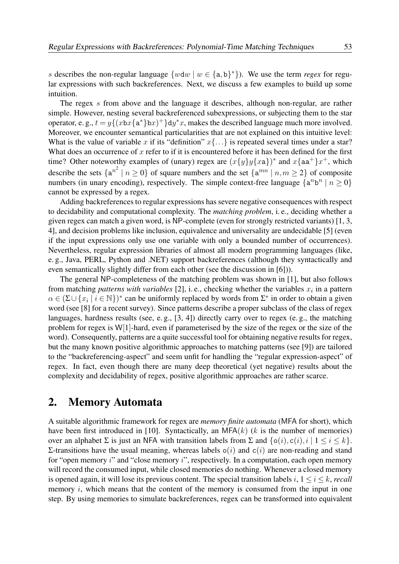s describes the non-regular language  $\{wdw \mid w \in \{a,b\}^*\}$ . We use the term *regex* for regular expressions with such backreferences. Next, we discuss a few examples to build up some intuition.

The regex s from above and the language it describes, although non-regular, are rather simple. However, nesting several backreferenced subexpressions, or subjecting them to the star operator, e.g.,  $t = y\{(xbx\{a^*\}bx)^+\}dy^*x$ , makes the described language much more involved. Moreover, we encounter semantical particularities that are not explained on this intuitive level: What is the value of variable x if its "definition"  $x\{...\}$  is repeated several times under a star? What does an occurrence of  $x$  refer to if it is encountered before it has been defined for the first time? Other noteworthy examples of (unary) regex are  $(x{y}y{xa})^*$  and  $x{aa^+}x^+$ , which describe the sets  $\{a^{n^2} \mid n \ge 0\}$  of square numbers and the set  $\{a^{mn} \mid n,m \ge 2\}$  of composite numbers (in unary encoding), respectively. The simple context-free language  $\{a^n b^n \mid n \ge 0\}$ cannot be expressed by a regex.

Adding backreferences to regular expressions has severe negative consequences with respect to decidability and computational complexity. The *matching problem*, i. e., deciding whether a given regex can match a given word, is NP-complete (even for strongly restricted variants) [1, 3, [4\], and decision problems like inclusion, equivalence and universality are undecidable \[5\] \(even](#page-1-0) if the input expressions only use one variable with only a bounded number of occurrences). Nevertheless, regular expression libraries of almost all modern programming languages (like, e. g., Java, PERL, Python and .NET) support backreferences (although they syntactically and even semantically slightly differ from each other (see the discussion in [6])).

The general NP-completeness of the matching problem was shown in [1], but also follows from matching *patterns with variables* [2], i. e., checking whether the variables  $x_i$  in a pattern  $\alpha \in (\Sigma \cup \{x_i \mid i \in \mathbb{N}\})^*$  can be uniformly replaced by words from  $\Sigma^*$  in order to obtain a given word (see [8] for a recent survey). Since patterns describe a proper subclass of the class of regex languages, hardness results (see, e. g., [3, 4]) directly carry over to regex (e. g., the matching problem for regex is  $W[1]$ -hard, even if parameterised by the size of the regex or the size of the word). Consequently, patterns are a quite successful tool for obtaining negative results for regex, but the many known positive algorithmic approaches to matching patterns (see [9]) are tailored to the "backreferencing-aspect" and seem unfit for handling the "regular expression-aspect" of regex. In fact, even though there are many deep theoretical (yet negative) results about the complexity and decidability of regex, positive algorithmic approaches are rather scarce.

#### 2. Memory Automata

A suitable algorithmic framework for regex are *memory finite automata* (MFA for short), which have been first introduced in [10]. Syntactically, an MFA $(k)$  (k is the number of memories) over an alphabet  $\Sigma$  is just an NFA with transition labels from  $\Sigma$  and  $\{o(i), c(i), i \mid 1 \le i \le k\}$ . Σ-transitions have the usual meaning, whereas labels  $o(i)$  and  $c(i)$  are non-reading and stand for "open memory i" and "close memory i", respectively. In a computation, each open memory will record the consumed input, while closed memories do nothing. Whenever a closed memory is opened again, it will lose its previous content. The special transition labels i,  $1 \le i \le k$ , *recall* memory  $i$ , which means that the content of the memory is consumed from the input in one step. By using memories to simulate backreferences, regex can be transformed into equivalent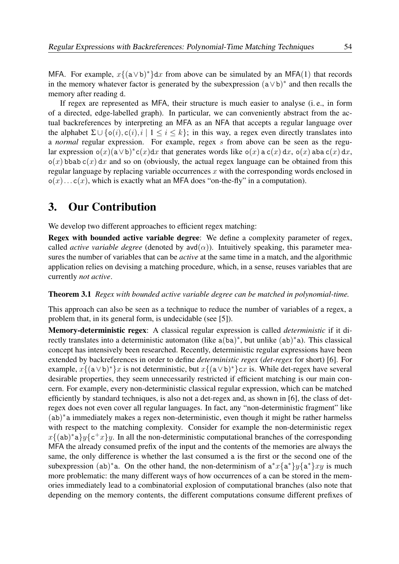MFA. For example,  $x\{(\mathsf{a} \vee \mathsf{b})^*\}dx$  from above can be simulated by an MFA(1) that records in the memory whatever factor is generated by the subexpression  $(a \vee b)^*$  and then recalls the memory after reading d.

If regex are represented as MFA, their structure is much easier to analyse (i. e., in form of a directed, edge-labelled graph). In particular, we can conveniently abstract from the actual backreferences by interpreting an MFA as an NFA that accepts a regular language over the alphabet  $\Sigma \cup \{o(i), c(i), i \mid 1 \leq i \leq k\}$ ; in this way, a regex even directly translates into a *normal* regular expression. For example, regex s from above can be seen as the regular expression  $o(x)(a \vee b)^*c(x)dx$  that generates words like  $o(x)$  a  $c(x) dx$ ,  $o(x)$  aba  $c(x) dx$ ,  $o(x)$  bbab c(x) dx and so on (obviously, the actual regex language can be obtained from this regular language by replacing variable occurrences  $x$  with the corresponding words enclosed in  $o(x) \dots c(x)$ , which is exactly what an MFA does "on-the-fly" in a computation).

### 3. Our Contribution

We develop two different approaches to efficient regex matching:

Regex with bounded active variable degree: We define a complexity parameter of regex, called *active variable degree* (denoted by  $\text{avd}(\alpha)$ ). Intuitively speaking, this parameter measures the number of variables that can be *active* at the same time in a match, and the algorithmic application relies on devising a matching procedure, which, in a sense, reuses variables that are currently *not active*.

#### Theorem 3.1 *Regex with bounded active variable degree can be matched in polynomial-time.*

This approach can also be seen as a technique to reduce the number of variables of a regex, a problem that, in its general form, is undecidable (see [5]).

Memory-deterministic regex: A classical regular expression is called *deterministic* if it directly translates into a deterministic automaton (like a(ba)<sup>\*</sup>, but unlike (ab)<sup>\*</sup>a). This classical concept has intensively been researched. Recently, deterministic regular expressions have been extended by backreferences in order to define *deterministic regex* (*det-regex* for short) [6]. For example,  $x\{(\mathbf{a} \vee \mathbf{b})^*\}x$  is not deterministic, but  $x\{(\mathbf{a} \vee \mathbf{b})^*\}cx$  is. While det-regex have several [desirable properties, they seem unnecessarily restricted if efficient matching is our main con](#page-2-0)cern. For example, every non-deterministic classical regular expression, which can be matched efficiently by standard techniques, is also not a det-regex and, as shown in [6], the class of detregex does not even cover all regular languages. In fact, any "non-deterministic fragment" like (ab) ∗a immediately makes a regex non-deterministic, even though it might be rather harmelss with respect to the matching complexity. Consider for example the non-deterministic regex  $x\{(\texttt{ab})^*\texttt{a}\}y\{\texttt{c}^+x\}y$ . In all the non-deterministic computational branches of the corresponding MFA the already consumed prefix of the input and the contents of the memories are always the same, the only difference is whether the last consumed a is the first or the second one of the subexpression (ab)<sup>\*</sup>a. On the other hand, the non-determinism of  $a^*x\{a^*\}y\{a^*\}xy$  is much more problematic: the many different ways of how occurrences of a can be stored in the memories immediately lead to a combinatorial explosion of computational branches (also note that depending on the memory contents, the different computations consume different prefixes of